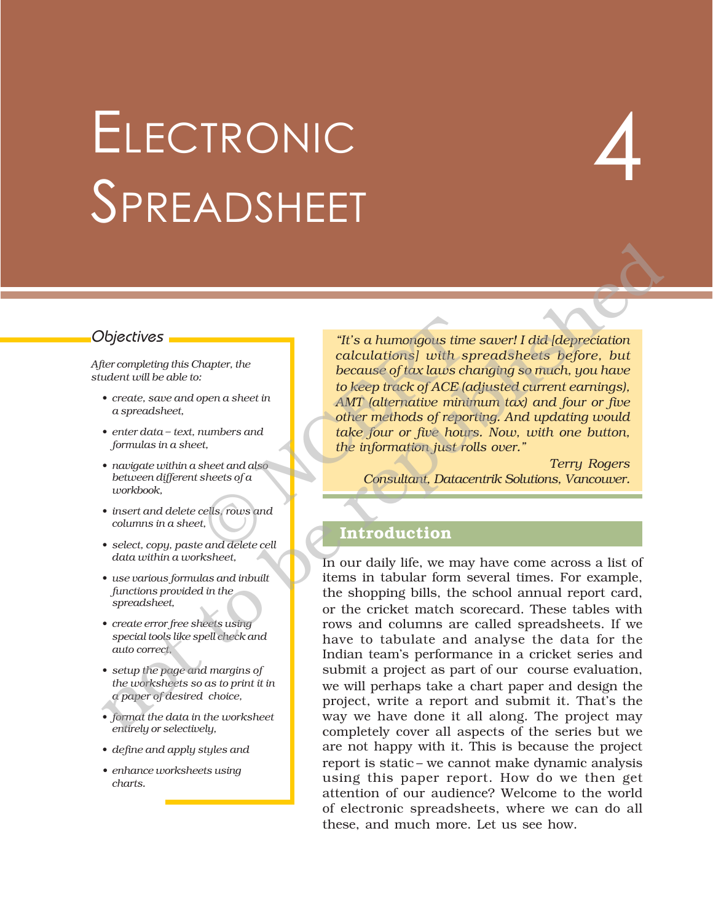## ELECTRONIC SPREADSHEET

# 4

*After completing this Chapter, the student will be able to:*

- ï *create, save and open a sheet in a spreadsheet,*
- *enter data text, numbers and formulas in a sheet,*
- ï *navigate within a sheet and also between different sheets of a workbook,*
- *insert and delete cells, rows and columns in a sheet,*
- ï *select, copy, paste and delete cell data within a worksheet,*
- ï *use various formulas and inbuilt functions provided in the spreadsheet,*
- ï *create error free sheets using special tools like spell check and auto correct,*
- ï *setup the page and margins of the worksheets so as to print it in a paper of desired choice,*
- ï *format the data in the worksheet entirely or selectively,*
- ï *define and apply styles and*
- *ï enhance worksheets using charts.*

Objectives **in the contract of the state of the contract of the same of the saver!** I did *[depreciation*] *calculations] with spreadsheets before, but because of tax laws changing so much, you have to keep track of ACE (adjusted current earnings), AMT (alternative minimum tax) and four or five other methods of reporting. And updating would take four or five hours. Now, with one button, the information just rolls over.î* "It's a humongous time"<br>
hapter, the<br>
calculations] with specuse of tax laws ch<br>
to keep track of ACE (c<br>
to keep track of ACE (c<br>
AMT (alternative mini)<br>
other methods of report<br>
the information just reference that<br>
the i

*Terry Rogers Consultant, Datacentrik Solutions, Vancouver.*

#### **Introduction**

In our daily life, we may have come across a list of items in tabular form several times. For example, the shopping bills, the school annual report card, or the cricket match scorecard. These tables with rows and columns are called spreadsheets. If we have to tabulate and analyse the data for the Indian teamís performance in a cricket series and submit a project as part of our course evaluation, we will perhaps take a chart paper and design the project, write a report and submit it. That's the way we have done it all along. The project may completely cover all aspects of the series but we are not happy with it. This is because the project report is static – we cannot make dynamic analysis using this paper report. How do we then get attention of our audience? Welcome to the world of electronic spreadsheets, where we can do all these, and much more. Let us see how.  $\label{eq:2} \begin{tabular}{|c|c|c|c|c|} \hline \textbf{Object}ives & \textbf{2D} &= \textbf{2D} & \textbf{2D} &= \textbf{2D} & \textbf{2D} &= \textbf{2D} & \textbf{2D} &= \textbf{2D} & \textbf{2D} &= \textbf{2D} & \textbf{2D} &= \textbf{2D} & \textbf{2D} & \textbf{2D} & \textbf{2D} & \textbf{2D} & \textbf{2D} & \textbf{2D} & \textbf{2D} & \textbf{2D} & \textbf{2D} & \textbf{2D} & \textbf{2D} &$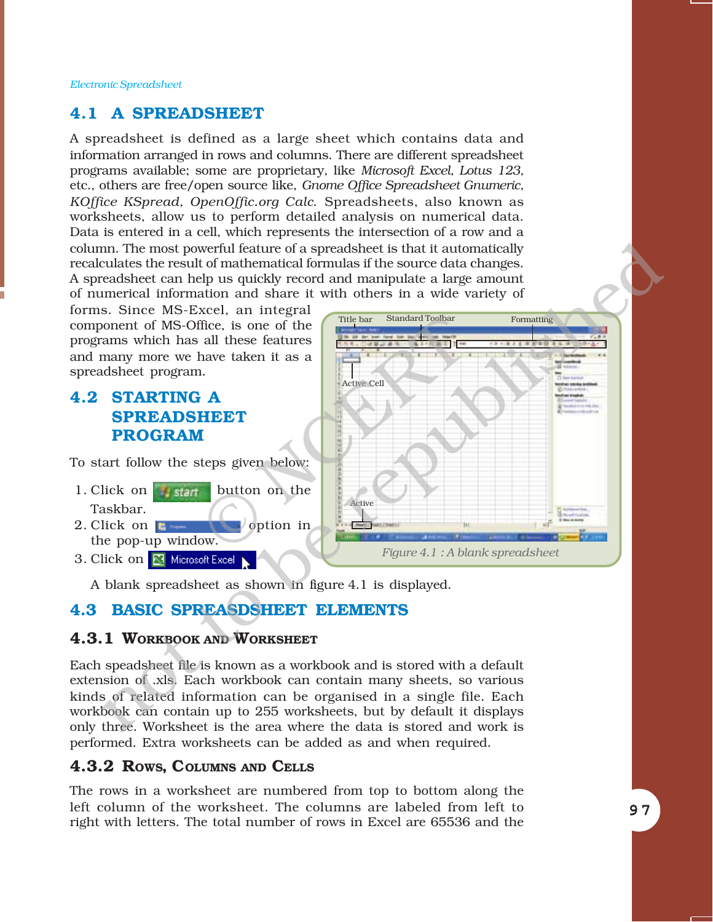#### **4.1 A SPREADSHEET**

A spreadsheet is defined as a large sheet which contains data and information arranged in rows and columns. There are different spreadsheet programs available; some are proprietary, like *Microsoft Excel, Lotus 123,* etc., others are free/open source like, *Gnome Office Spreadsheet Gnumeric, KOffice KSpread, OpenOffic.org Calc*. Spreadsheets, also known as worksheets, allow us to perform detailed analysis on numerical data. Data is entered in a cell, which represents the intersection of a row and a column. The most powerful feature of a spreadsheet is that it automatically recalculates the result of mathematical formulas if the source data changes. A spreadsheet can help us quickly record and manipulate a large amount of numerical information and share it with others in a wide variety of

forms. Since MS-Excel, an integral component of MS-Office, is one of the programs which has all these features and many more we have taken it as a spreadsheet program.

#### **4.2 STARTING A SPREADSHEET PROGRAM**

To start follow the steps given below:

- 1. Click on  $\frac{1}{2}$  stands button on the Taskbar.
- 2. Click on  $\blacksquare$   $\blacksquare$   $\blacksquare$   $\blacksquare$   $\blacksquare$ the pop-up window.
- 3. Click on **X** Microsoft Excel



A blank spreadsheet as shown in figure 4.1 is displayed.

#### **4.3 BASIC SPREASDSHEET ELEMENTS**

#### **4.3.1 WORKBOOK AND WORKSHEET**

Each speadsheet file is known as a workbook and is stored with a default extension of .xls. Each workbook can contain many sheets, so various kinds of related information can be organised in a single file. Each workbook can contain up to 255 worksheets, but by default it displays only three. Worksheet is the area where the data is stored and work is performed. Extra worksheets can be added as and when required.

#### **4.3.2 ROWS, COLUMNS AND CELLS**

The rows in a worksheet are numbered from top to bottom along the left column of the worksheet. The columns are labeled from left to right with letters. The total number of rows in Excel are 65536 and the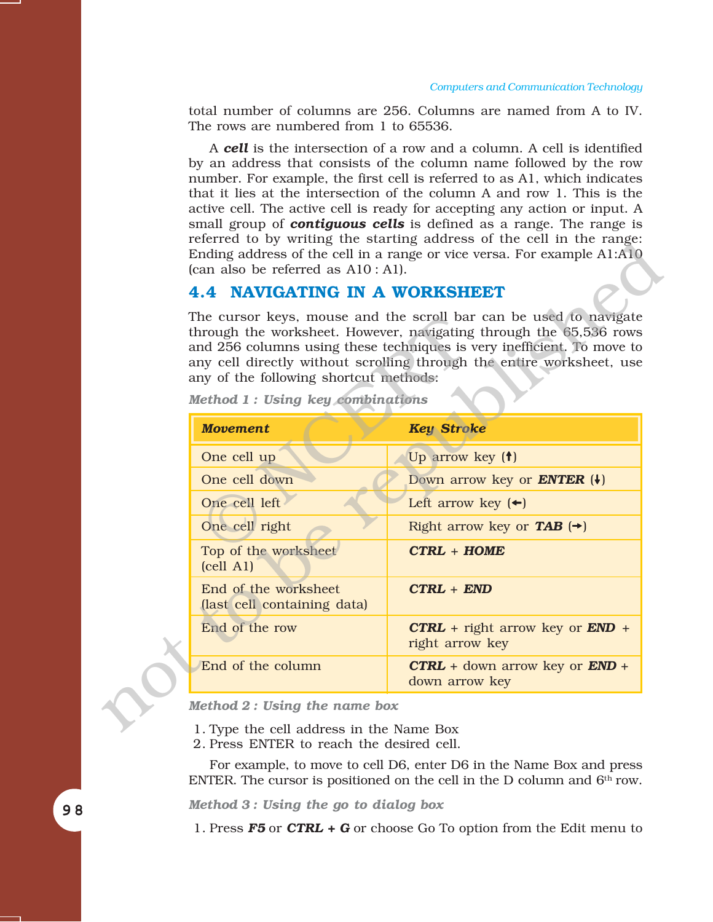total number of columns are 256. Columns are named from A to IV. The rows are numbered from 1 to 65536.

A *cell* is the intersection of a row and a column. A cell is identified by an address that consists of the column name followed by the row number. For example, the first cell is referred to as A1, which indicates that it lies at the intersection of the column A and row 1. This is the active cell. The active cell is ready for accepting any action or input. A small group of *contiguous cells* is defined as a range. The range is referred to by writing the starting address of the cell in the range: Ending address of the cell in a range or vice versa. For example A1:A10 (can also be referred as A10 : A1).

#### **4.4 NAVIGATING IN A WORKSHEET**

| (can also be referred as $A10:A1$ ).                                       | referred to by writing the starting address of the cent in the range.<br>Ending address of the cell in a range or vice versa. For example A1:A10                                                                                                                                           |
|----------------------------------------------------------------------------|--------------------------------------------------------------------------------------------------------------------------------------------------------------------------------------------------------------------------------------------------------------------------------------------|
| <b>4.4 NAVIGATING IN A WORKSHEET</b>                                       |                                                                                                                                                                                                                                                                                            |
| any of the following shortcut methods:<br>Method 1: Using key combinations | The cursor keys, mouse and the scroll bar can be used to navigate<br>through the worksheet. However, navigating through the 65,536 rows<br>and 256 columns using these techniques is very inefficient. To move to<br>any cell directly without scrolling through the entire worksheet, use |
| <b>Movement</b>                                                            | <b>Key Stroke</b>                                                                                                                                                                                                                                                                          |
| One cell up                                                                | Up arrow key (†)                                                                                                                                                                                                                                                                           |
| One cell down                                                              | Down arrow key or <b>ENTER</b> $(+)$                                                                                                                                                                                                                                                       |
| One cell left                                                              | Left arrow key $(\Leftrightarrow)$                                                                                                                                                                                                                                                         |
| One cell right                                                             | Right arrow key or <b>TAB</b> $(\rightarrow)$                                                                                                                                                                                                                                              |
| Top of the worksheet<br>$\text{(cell A1)}$                                 | $CTRL + HOME$                                                                                                                                                                                                                                                                              |
| End of the worksheet<br>(last cell containing data)                        | $CTRL + END$                                                                                                                                                                                                                                                                               |
| End of the row                                                             | $CTRL$ + right arrow key or $END +$<br>right arrow key                                                                                                                                                                                                                                     |
| End of the column                                                          | $CTRL + down arrow key or END +$<br>down arrow key                                                                                                                                                                                                                                         |
| Method $2:$ Using the name box                                             |                                                                                                                                                                                                                                                                                            |
| 1. Type the cell address in the Name Box                                   |                                                                                                                                                                                                                                                                                            |

*Method 1 : Using key combinations*

- 1. Type the cell address in the Name Box
- 2. Press ENTER to reach the desired cell.

For example, to move to cell D6, enter D6 in the Name Box and press ENTER. The cursor is positioned on the cell in the D column and  $6<sup>th</sup>$  row.

*Method 3 : Using the go to dialog box*

1. Press *F5* or *CTRL + G* or choose Go To option from the Edit menu to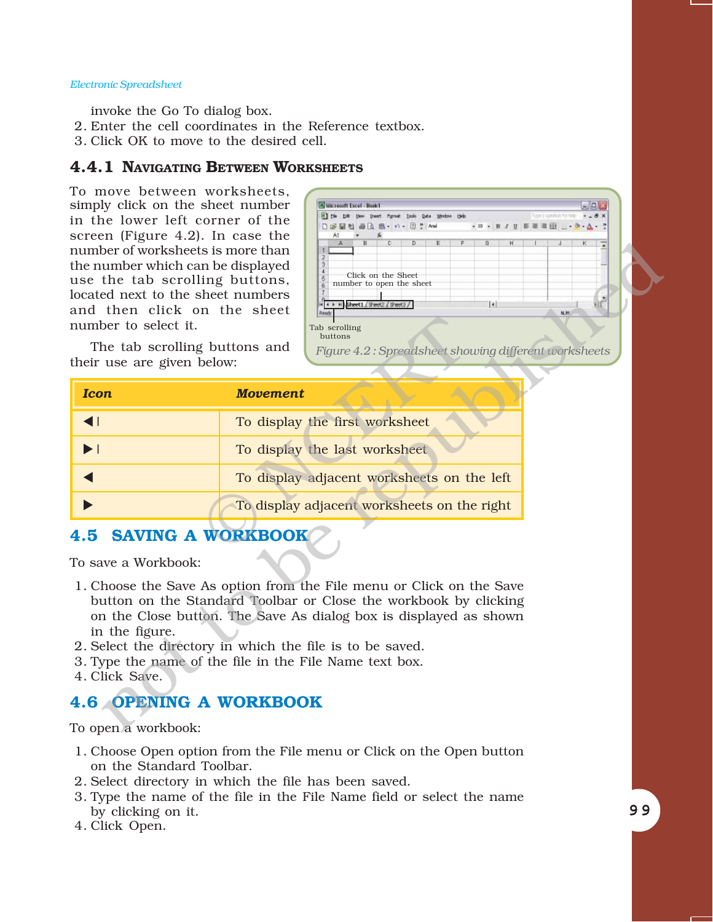invoke the Go To dialog box.

- 2. Enter the cell coordinates in the Reference textbox.
- 3. Click OK to move to the desired cell.

#### **4.4.1 NAVIGATING BETWEEN WORKSHEETS**

To move between worksheets, simply click on the sheet number in the lower left corner of the screen (Figure 4.2). In case the number of worksheets is more than the number which can be displayed use the tab scrolling buttons, located next to the sheet numbers and then click on the sheet number to select it.



| number of worksheets is more than<br>the number which can be displayed<br>use the tab scrolling buttons,<br>located next to the sheet numbers<br>and then click on the sheet<br>number to select it.<br>The tab scrolling buttons and<br>their use are given below: | G<br>Ħ<br>Click on the Sheet<br>number to open the sheet<br>tаl<br>4 + + H Sheet1 (Sheet2 / Sheet3 /<br>採射<br>Tab scrolling<br>buttons<br>Figure 4.2: Spreadsheet showing different worksheets                                                                                                                                        |
|---------------------------------------------------------------------------------------------------------------------------------------------------------------------------------------------------------------------------------------------------------------------|---------------------------------------------------------------------------------------------------------------------------------------------------------------------------------------------------------------------------------------------------------------------------------------------------------------------------------------|
| <b>Icon</b>                                                                                                                                                                                                                                                         | <b>Movement</b>                                                                                                                                                                                                                                                                                                                       |
| $\blacktriangleleft$                                                                                                                                                                                                                                                | To display the first worksheet                                                                                                                                                                                                                                                                                                        |
| $\blacktriangleright$ $\vdash$                                                                                                                                                                                                                                      | To display the last worksheet                                                                                                                                                                                                                                                                                                         |
|                                                                                                                                                                                                                                                                     | To display adjacent worksheets on the left                                                                                                                                                                                                                                                                                            |
|                                                                                                                                                                                                                                                                     | To display adjacent worksheets on the right                                                                                                                                                                                                                                                                                           |
| <b>SAVING A WORKBOOK</b><br>4.5<br>To save a Workbook:<br>in the figure.<br>4. Click Save.                                                                                                                                                                          | 1. Choose the Save As option from the File menu or Click on the Save<br>button on the Standard Toolbar or Close the workbook by clicking<br>on the Close button. The Save As dialog box is displayed as shown<br>2. Select the directory in which the file is to be saved.<br>3. Type the name of the file in the File Name text box. |
| <b>4.6 OPENING A WORKBOOK</b>                                                                                                                                                                                                                                       |                                                                                                                                                                                                                                                                                                                                       |
| To open a workbook:                                                                                                                                                                                                                                                 |                                                                                                                                                                                                                                                                                                                                       |

### **4.5 SAVING A WORKBOOK**

- 1. Choose the Save As option from the File menu or Click on the Save button on the Standard Toolbar or Close the workbook by clicking on the Close button. The Save As dialog box is displayed as shown in the figure.
- 2. Select the directory in which the file is to be saved.
- 3. Type the name of the file in the File Name text box.
- 4. Click Save.

#### **4.6 OPENING A WORKBOOK**

To open a workbook:

- 1. Choose Open option from the File menu or Click on the Open button on the Standard Toolbar.
- 2. Select directory in which the file has been saved.
- 3. Type the name of the file in the File Name field or select the name by clicking on it.
- 4. Click Open.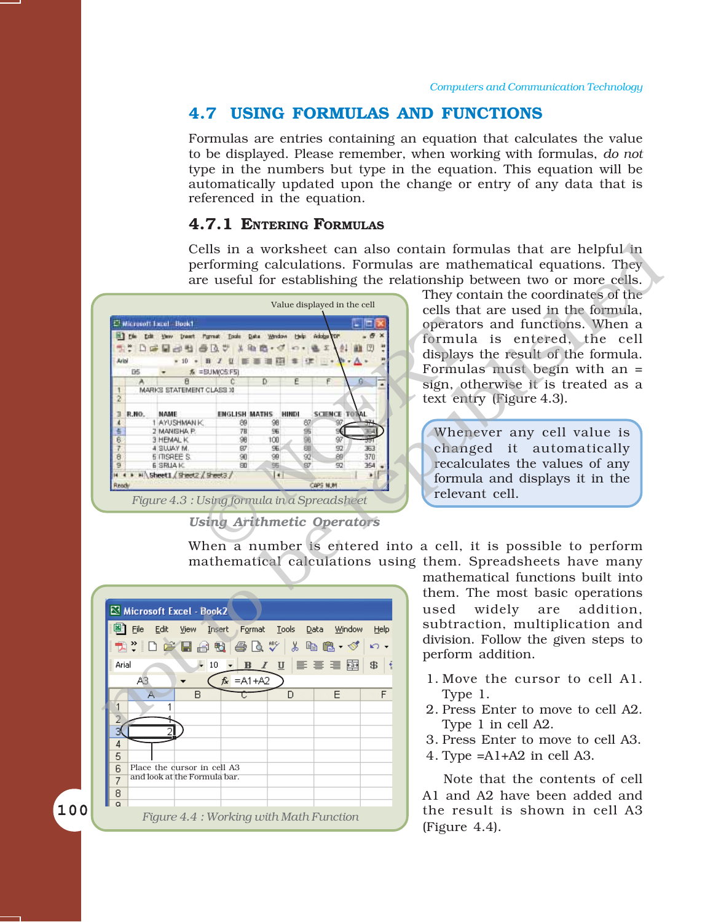#### **4.7 USING FORMULAS AND FUNCTIONS**

Formulas are entries containing an equation that calculates the value to be displayed. Please remember, when working with formulas, *do not* type in the numbers but type in the equation. This equation will be automatically updated upon the change or entry of any data that is referenced in the equation.

#### **4.7.1 ENTERING FORMULAS**

Cells in a worksheet can also contain formulas that are helpful in performing calculations. Formulas are mathematical equations. They are useful for establishing the relationship between two or more cells.



*Using Arithmetic Operators*

They contain the coordinates of the cells that are used in the formula, operators and functions. When a formula is entered, the cell displays the result of the formula. Formulas must begin with an = sign, otherwise it is treated as a text entry (Figure 4.3).

Whenever any cell value is changed it automatically recalculates the values of any formula and displays it in the relevant cell.

When a number is entered into a cell, it is possible to perform mathematical calculations using them. Spreadsheets have many



mathematical functions built into them. The most basic operations used widely are addition, subtraction, multiplication and division. Follow the given steps to perform addition.

- 1. Move the cursor to cell A1. Type 1.
- 2. Press Enter to move to cell A2. Type 1 in cell A2.
- 3. Press Enter to move to cell A3.
- 4. Type =A1+A2 in cell A3.

Note that the contents of cell A1 and A2 have been added and the result is shown in cell A3 (Figure 4.4).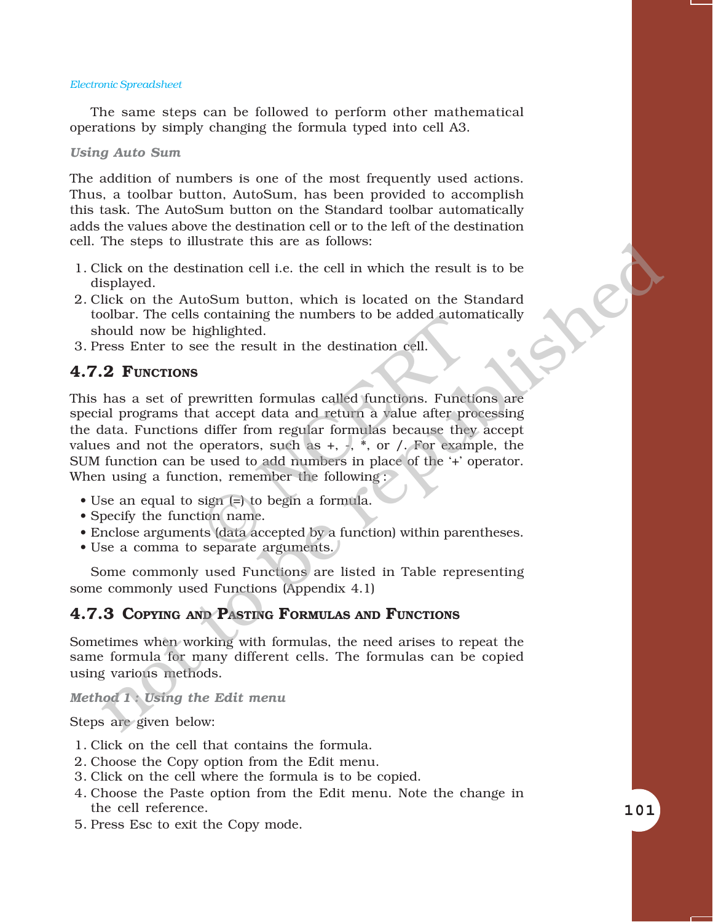The same steps can be followed to perform other mathematical operations by simply changing the formula typed into cell A3.

#### *Using Auto Sum*

The addition of numbers is one of the most frequently used actions. Thus, a toolbar button, AutoSum, has been provided to accomplish this task. The AutoSum button on the Standard toolbar automatically adds the values above the destination cell or to the left of the destination cell. The steps to illustrate this are as follows:

- 1. Click on the destination cell i.e. the cell in which the result is to be displayed.
- 2. Click on the AutoSum button, which is located on the Standard toolbar. The cells containing the numbers to be added automatically should now be highlighted.
- 3. Press Enter to see the result in the destination cell.

#### **4.7.2 FUNCTIONS**

This has a set of prewritten formulas called functions. Functions are special programs that accept data and return a value after processing the data. Functions differ from regular formulas because they accept values and not the operators, such as  $+$ ,  $-$ ,  $*$ , or  $\prime$ . For example, the SUM function can be used to add numbers in place of the '+' operator. When using a function, remember the following : containing the numbers to be added attion<br>ighlighted.<br>ee the result in the destination cell.<br>rewritten formulas called functions. Funct<br>at accept data and return a value after pr<br>differ from regular formulas because the<br>op inc steps to intistrate this are as ionows:<br>
include on the destination cell i.e. the cell in which the result is to be<br>
isplayed.<br>
it also the AutoSum button, which is located on the Standard<br>
blood now be highlighted.<br>

- $\bullet$  Use an equal to sign (=) to begin a formula.
- Specify the function name.
- Enclose arguments (data accepted by a function) within parentheses.
- Use a comma to separate arguments.

Some commonly used Functions are listed in Table representing some commonly used Functions (Appendix 4.1)

#### **4.7.3 COPYING AND PASTING FORMULAS AND FUNCTIONS**

Sometimes when working with formulas, the need arises to repeat the same formula for many different cells. The formulas can be copied using various methods.

*Method 1 : Using the Edit menu*

Steps are given below:

- 1. Click on the cell that contains the formula.
- 2. Choose the Copy option from the Edit menu.
- 3. Click on the cell where the formula is to be copied.
- 4. Choose the Paste option from the Edit menu. Note the change in the cell reference.
- 5. Press Esc to exit the Copy mode.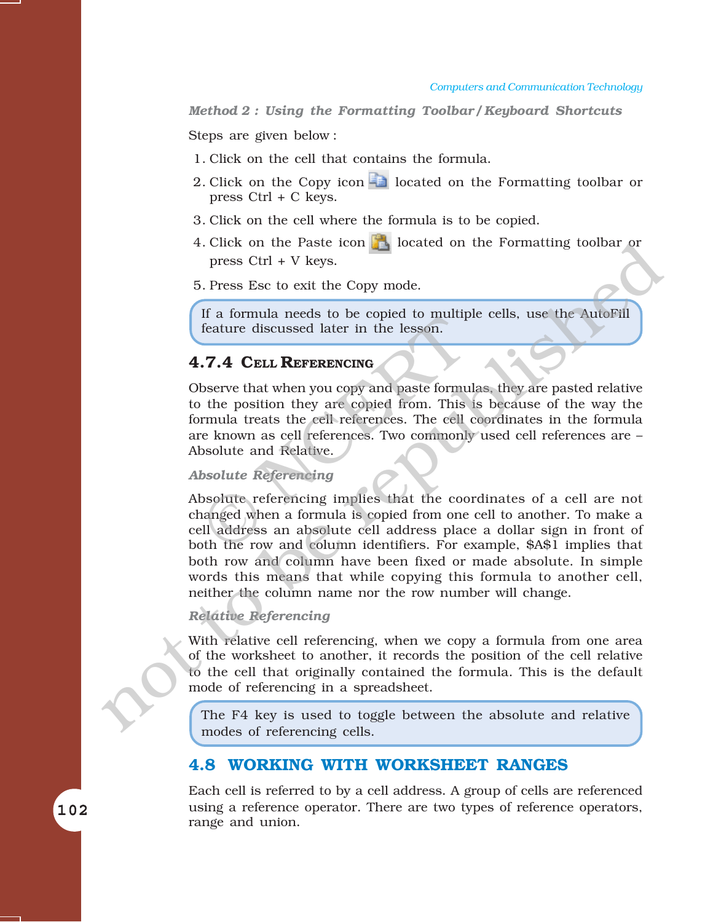*Method 2 : Using the Formatting Toolbar / Keyboard Shortcuts*

Steps are given below :

- 1. Click on the cell that contains the formula.
- 2. Click on the Copy icon  $\Box$  located on the Formatting toolbar or press Ctrl + C keys.
- 3. Click on the cell where the formula is to be copied.
- 4. Click on the Paste icon **located on the Formatting toolbar or** press Ctrl + V keys.

5. Press Esc to exit the Copy mode.

If a formula needs to be copied to multiple cells, use the AutoFill feature discussed later in the lesson.

#### **4.7.4 CELL REFERENCING**

Observe that when you copy and paste formulas, they are pasted relative to the position they are copied from. This is because of the way the formula treats the cell references. The cell coordinates in the formula are known as cell references. Two commonly used cell references are -Absolute and Relative. 17.4 CELL REFERENCING<br>
17.4 CELL REFERENCING<br>
bserve that when you copy and paste formula<br>
the position they are copied from. This<br>
17.4 CELL REFERENCING<br>
bserve that when you copy and paste formula<br>
tracts the cell refere

#### *Absolute Referencing*

Absolute referencing implies that the coordinates of a cell are not changed when a formula is copied from one cell to another. To make a cell address an absolute cell address place a dollar sign in front of both the row and column identifiers. For example, \$A\$1 implies that both row and column have been fixed or made absolute. In simple words this means that while copying this formula to another cell, neither the column name nor the row number will change. 4. Chack on the Paste icon ( $\blacksquare$  bocated on the Pormating toolbar or<br>
press Chri + V keys.<br>
5. Press Ese to exit the Copy mode.<br>
If a formula needs to be copied to multiple cells, use the AutoFill<br>
feature discussed lat

#### *Relative Referencing*

With relative cell referencing, when we copy a formula from one area of the worksheet to another, it records the position of the cell relative to the cell that originally contained the formula. This is the default mode of referencing in a spreadsheet.

The F4 key is used to toggle between the absolute and relative modes of referencing cells.

#### **4.8 WORKING WITH WORKSHEET RANGES**

Each cell is referred to by a cell address. A group of cells are referenced using a reference operator. There are two types of reference operators, range and union.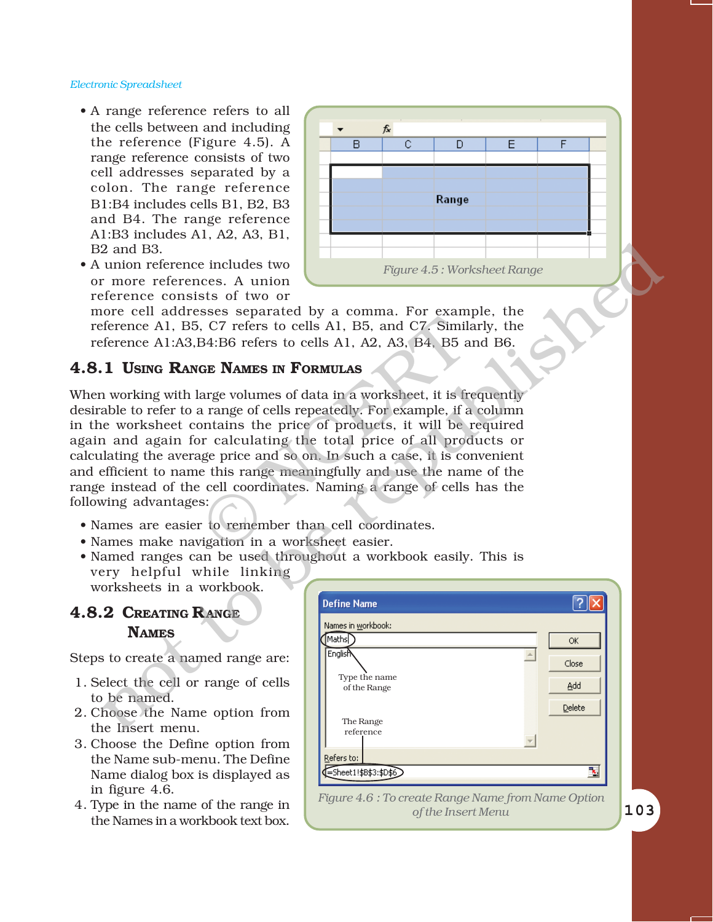• A range reference refers to all the cells between and including the reference (Figure 4.5). A range reference consists of two cell addresses separated by a colon. The range reference B1:B4 includes cells B1, B2, B3 and B4. The range reference A1:B3 includes A1, A2, A3, B1, B2 and B3.



more cell addresses separated by a comma. For example, the reference A1, B5, C7 refers to cells A1, B5, and C7. Similarly, the reference A1:A3,B4:B6 refers to cells A1, A2, A3, B4, B5 and B6.

#### **4.8.1 USING RANGE NAMES IN FORMULAS**

When working with large volumes of data in a worksheet, it is frequently desirable to refer to a range of cells repeatedly. For example, if a column in the worksheet contains the price of products, it will be required again and again for calculating the total price of all products or calculating the average price and so on. In such a case, it is convenient and efficient to name this range meaningfully and use the name of the range instead of the cell coordinates. Naming a range of cells has the following advantages: Community 1 a community of Community Community Community Community Community Community Community S4:B6 refers to cells A1, A2, A3, B4, B5 and C7. Similarly Sample A1, A2, A3, B4, B5 and GE **NAMES IN FORMULAS**<br>arge volumes 2 and B3.<br>
unho meterence includes two<br>
more references. A union<br>
inference consists of two or<br>
frequence of all difference at 1.85. Creates to cells A1, B3. and CZ Similarly, the<br>
ference A1.43.34:B6 or feres to cells A1

- ï Names are easier to remember than cell coordinates.
- ï Names make navigation in a worksheet easier.
- Named ranges can be used throughout a workbook easily. This is very helpful while linking worksheets in a workbook.

#### **4.8.2 CREATING RANGE NAMES**

Steps to create a named range are:

- 1. Select the cell or range of cells to be named.
- 2. Choose the Name option from the Insert menu.
- 3. Choose the Define option from the Name sub-menu. The Define Name dialog box is displayed as in figure 4.6.
- 4. Type in the name of the range in the Names in a workbook text box.



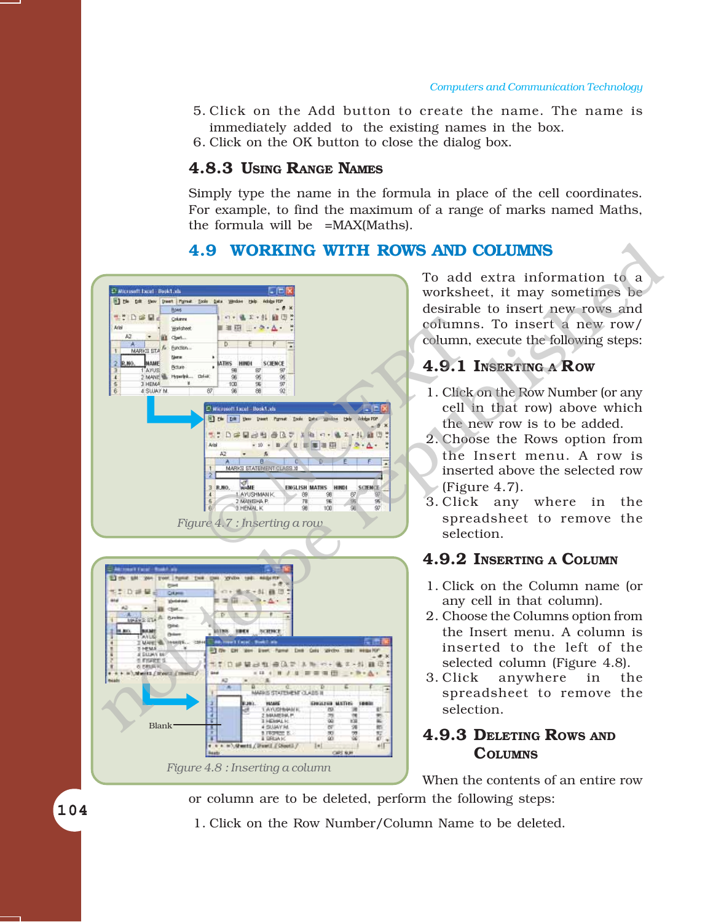- 5. Click on the Add button to create the name. The name is immediately added to the existing names in the box.
- 6. Click on the OK button to close the dialog box.

#### **4.8.3 USING RANGE NAMES**

Simply type the name in the formula in place of the cell coordinates. For example, to find the maximum of a range of marks named Maths, the formula will be =MAX(Maths).

#### **4.9 WORKING WITH ROWS AND COLUMNS**



Blank v = = \/dwett / Peet1 / Stort3 /  $1 - 1$ #IF *Figure 4.8 : Inserting a column*

To add extra information to a worksheet, it may sometimes be desirable to insert new rows and columns. To insert a new row/ column, execute the following steps:

#### **4.9.1 INSERTING A ROW**

- 1. Click on the Row Number (or any cell in that row) above which the new row is to be added.
- 2. Choose the Rows option from the Insert menu. A row is inserted above the selected row (Figure 4.7).
- 3. Click any where in the spreadsheet to remove the selection.

#### **4.9.2 INSERTING A COLUMN**

- 1. Click on the Column name (or any cell in that column).
- 2. Choose the Columns option from the Insert menu. A column is inserted to the left of the selected column (Figure 4.8).
- 3. Click anywhere in the spreadsheet to remove the selection.

#### **4.9.3 DELETING ROWS AND COLUMNS**

When the contents of an entire row or column are to be deleted, perform the following steps:

1. Click on the Row Number/Column Name to be deleted.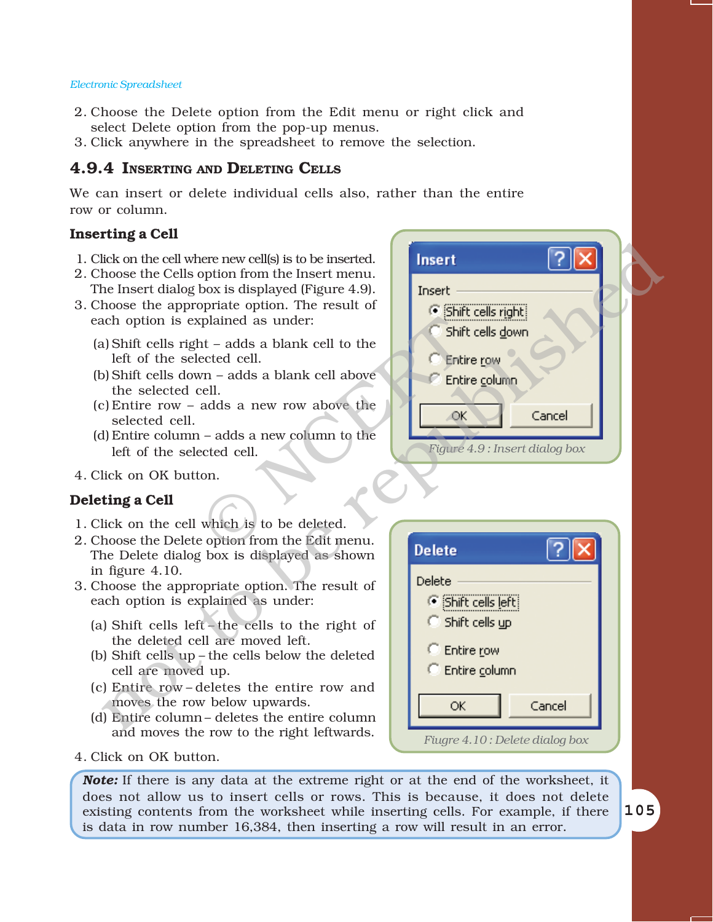- 2. Choose the Delete option from the Edit menu or right click and select Delete option from the pop-up menus.
- 3. Click anywhere in the spreadsheet to remove the selection.

#### **4.9.4 INSERTING AND DELETING CELLS**

We can insert or delete individual cells also, rather than the entire row or column.

#### **Inserting a Cell**

- 1. Click on the cell where new cell(s) is to be inserted.
- 2. Choose the Cells option from the Insert menu. The Insert dialog box is displayed (Figure 4.9).
- 3. Choose the appropriate option. The result of each option is explained as under:
	- (a) Shift cells right  $-$  adds a blank cell to the left of the selected cell.
	- $(b)$  Shift cells down adds a blank cell above the selected cell.
	- $(c)$  Entire row adds a new row above the selected cell.
	- $(d)$  Entire column  $-$  adds a new column to the left of the selected cell.
- 4. Click on OK button.

#### **Deleting a Cell**

- 1. Click on the cell which is to be deleted.
- 2. Choose the Delete option from the Edit menu. The Delete dialog box is displayed as shown in figure 4.10.
- 3. Choose the appropriate option. The result of each option is explained as under:
	- (a) Shift cells left  $-th$  cells to the right of the deleted cell are moved left.
	- (b) Shift cells up  $-$  the cells below the deleted cell are moved up.
	- (c) Entire row-deletes the entire row and moves the row below upwards.
	- (d) Entire column deletes the entire column and moves the row to the right leftwards.
- 4. Click on OK button.

*Figure 4.9 : Insert dialog box* plained as under:<br>
and a blank cell to the<br>
ected cell.<br>
Figure 4<br>
Cell.<br>
adds a new row above the<br>
- adds a new column to the<br>
ceted cell.<br>
on.<br>
which is to be deleted.<br>
explicit from the Edit menu. lick on the cells option from the lanest ment means and the cells of the cells of the celest option. The result of the rest means and the photon is explained as under the selected cell.<br>
The selected cells above the selec

| <b>Delete</b>                                                     |        |
|-------------------------------------------------------------------|--------|
| Delete<br><b>C</b> Shift cells left<br>$\subseteq$ Shift cells up |        |
| C Entire row<br>C Entire column                                   |        |
| ОК                                                                | Cancel |
| Fiugre 4.10: Delete dialog box                                    |        |

*Note:* If there is any data at the extreme right or at the end of the worksheet, it does not allow us to insert cells or rows. This is because, it does not delete existing contents from the worksheet while inserting cells. For example, if there is data in row number 16,384, then inserting a row will result in an error.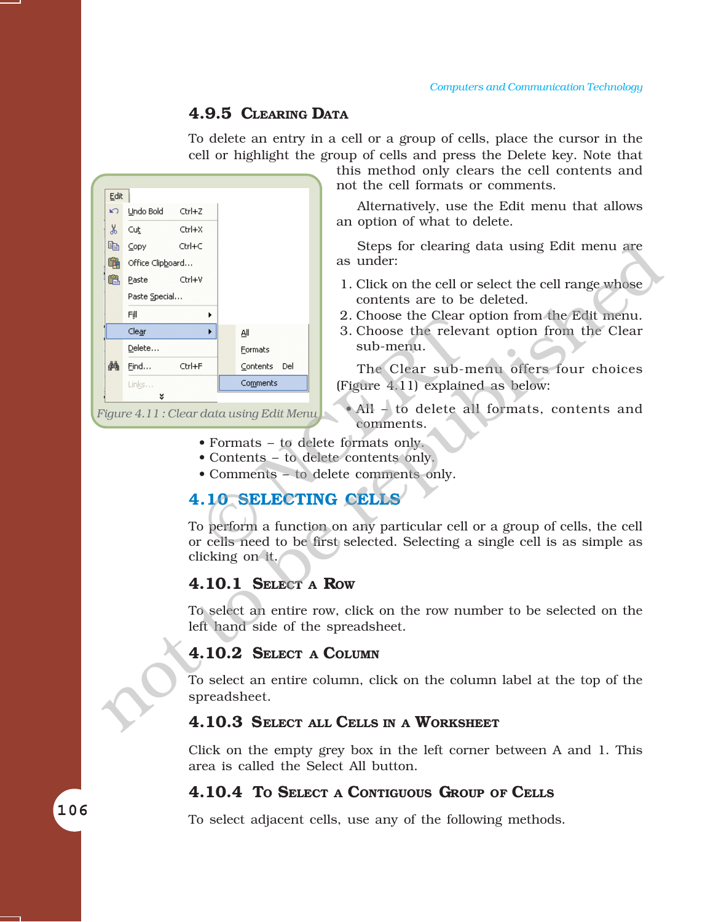#### **4.9.5 CLEARING DATA**

To delete an entry in a cell or a group of cells, place the cursor in the cell or highlight the group of cells and press the Delete key. Note that



not the cell formats or comments.

Alternatively, use the Edit menu that allows an option of what to delete.

this method only clears the cell contents and

Steps for clearing data using Edit menu are as under:

- 1. Click on the cell or select the cell range whose contents are to be deleted.
- 2. Choose the Clear option from the Edit menu.
- 3. Choose the relevant option from the Clear sub-menu.

The Clear sub-menu offers four choices (Figure 4.11) explained as below:

*Figure 4.11 : Clear data using Edit Menu*

 $\bullet$  All - to delete all formats, contents and comments.

- Formats to delete formats only.
- Contents to delete contents only.
- Comments to delete comments only.

#### **4.10 SELECTING CELLS**

To perform a function on any particular cell or a group of cells, the cell or cells need to be first selected. Selecting a single cell is as simple as clicking on it.

#### **4.10.1 SELECT A ROW**

To select an entire row, click on the row number to be selected on the left hand side of the spreadsheet.

#### **4.10.2 SELECT A COLUMN**

To select an entire column, click on the column label at the top of the spreadsheet.

#### **4.10.3 SELECT ALL CELLS IN A WORKSHEET**

Click on the empty grey box in the left corner between A and 1. This area is called the Select All button.

#### **4.10.4 TO SELECT A CONTIGUOUS GROUP OF CELLS**

To select adjacent cells, use any of the following methods.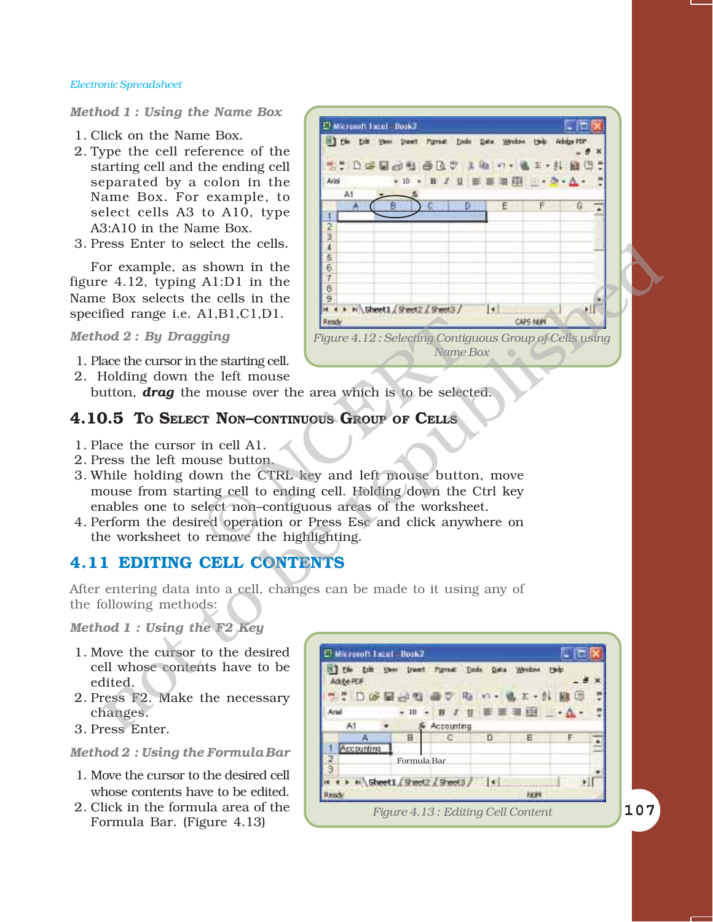#### *Method 1 : Using the Name Box*

- 1. Click on the Name Box.
- 2. Type the cell reference of the starting cell and the ending cell separated by a colon in the Name Box. For example, to select cells A3 to A10, type A3:A10 in the Name Box.
- 3. Press Enter to select the cells.

For example, as shown in the figure 4.12, typing A1:D1 in the Name Box selects the cells in the specified range i.e. A1,B1,C1,D1.

*Method 2 : By Dragging*

- 1. Place the cursor in the starting cell.
- 2. Holding down the left mouse

button, *drag* the mouse over the area which is to be selected.

#### **4.10.5 TO SELECT NON-CONTINUOUS GROUP OF CELLS**

- 1. Place the cursor in cell A1.
- 2. Press the left mouse button.
- 3. While holding down the CTRL key and left mouse button, move mouse from starting cell to ending cell. Holding down the Ctrl key enables one to select non-contiguous areas of the worksheet. Figure 4.12: Selecting Contigues<br>the starting cell.<br>
The left mouse<br>
Produce : mouse over the area which is to be selected:<br>
The left mouse over the area which is to be selected:<br>
The CONTINUOUS GROUP OF CELLS<br>
in cell A1.
- 4. Perform the desired operation or Press Esc and click anywhere on the worksheet to remove the highlighting.

#### **4.11 EDITING CELL CONTENTS**

After entering data into a cell, changes can be made to it using any of the following methods:

*Method 1 : Using the F2 Key*

- 1. Move the cursor to the desired cell whose contents have to be edited.
- 2. Press F2. Make the necessary changes.
- 3. Press Enter.

#### *Method 2 : Using the Formula Bar*

- 1. Move the cursor to the desired cell whose contents have to be edited.
- 2. Click in the formula area of the



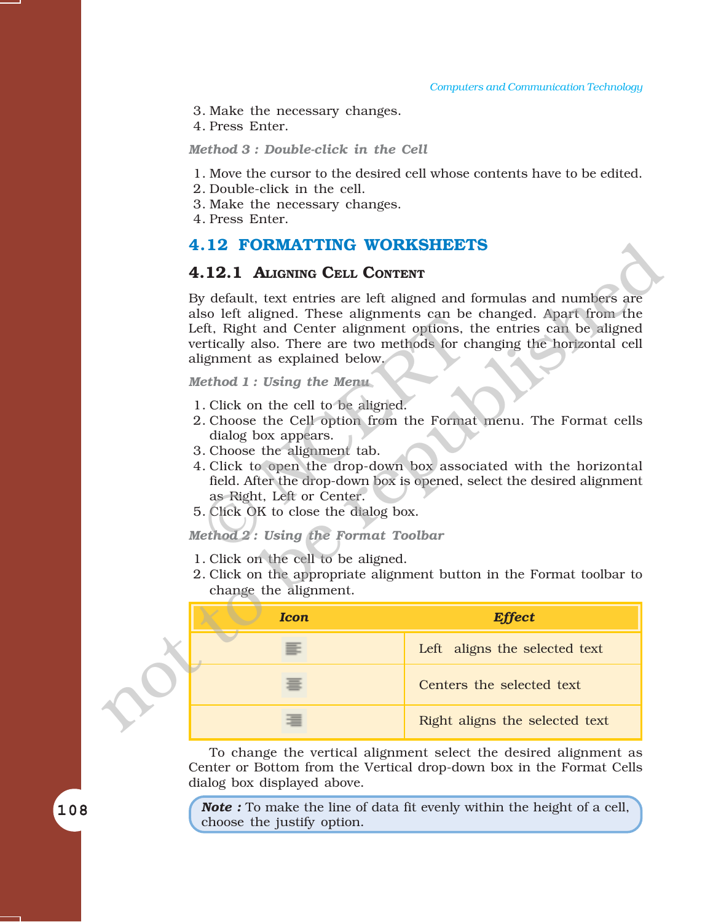- 3. Make the necessary changes.
- 4. Press Enter.

#### *Method 3 : Double-click in the Cell*

- 1. Move the cursor to the desired cell whose contents have to be edited.
- 2. Double-click in the cell.
- 3. Make the necessary changes.
- 4. Press Enter.

#### **4.12 FORMATTING WORKSHEETS**

#### **4.12.1 ALIGNING CELL CONTENT**

#### *Method 1 : Using the Menu*

- 1. Click on the cell to be aligned.
- 2. Choose the Cell option from the Format menu. The Format cells dialog box appears.
- 3. Choose the alignment tab.
- 4. Click to open the drop-down box associated with the horizontal field. After the drop-down box is opened, select the desired alignment as Right, Left or Center.
- 5. Click OK to close the dialog box.

#### *Method 2 : Using the Format Toolbar*

- 1. Click on the cell to be aligned.
- 2. Click on the appropriate alignment button in the Format toolbar to change the alignment.

| <b>4.12 FORMATTING WORKSHEETS</b>                                                                                                                                                                                                                                                                                                |                                                                                                                                                                                                                                                                                          |  |  |  |  |  |  |
|----------------------------------------------------------------------------------------------------------------------------------------------------------------------------------------------------------------------------------------------------------------------------------------------------------------------------------|------------------------------------------------------------------------------------------------------------------------------------------------------------------------------------------------------------------------------------------------------------------------------------------|--|--|--|--|--|--|
| 4.12.1 ALIGNING CELL CONTENT                                                                                                                                                                                                                                                                                                     |                                                                                                                                                                                                                                                                                          |  |  |  |  |  |  |
| By default, text entries are left aligned and formulas and numbers are<br>also left aligned. These alignments can be changed. Apart from the<br>Left, Right and Center alignment options, the entries can be aligned<br>vertically also. There are two methods for changing the horizontal cell<br>alignment as explained below. |                                                                                                                                                                                                                                                                                          |  |  |  |  |  |  |
| Method 1: Using the Menu                                                                                                                                                                                                                                                                                                         |                                                                                                                                                                                                                                                                                          |  |  |  |  |  |  |
| 1. Click on the cell to be aligned.<br>dialog box appears.<br>3. Choose the alignment tab.<br>as Right, Left or Center.<br>5. Click OK to close the dialog box.<br>Method 2: Using the Format Toolbar<br>1. Click on the cell to be aligned.                                                                                     | 2. Choose the Cell option from the Format menu. The Format cells<br>4. Click to open the drop-down box associated with the horizontal<br>field. After the drop-down box is opened, select the desired alignment<br>2. Click on the appropriate alignment button in the Format toolbar to |  |  |  |  |  |  |
| change the alignment.                                                                                                                                                                                                                                                                                                            |                                                                                                                                                                                                                                                                                          |  |  |  |  |  |  |
| <b>Icon</b>                                                                                                                                                                                                                                                                                                                      | <b>Effect</b>                                                                                                                                                                                                                                                                            |  |  |  |  |  |  |
| ≡                                                                                                                                                                                                                                                                                                                                | Left aligns the selected text                                                                                                                                                                                                                                                            |  |  |  |  |  |  |
|                                                                                                                                                                                                                                                                                                                                  | Centers the selected text                                                                                                                                                                                                                                                                |  |  |  |  |  |  |
|                                                                                                                                                                                                                                                                                                                                  | Right aligns the selected text                                                                                                                                                                                                                                                           |  |  |  |  |  |  |

To change the vertical alignment select the desired alignment as Center or Bottom from the Vertical drop-down box in the Format Cells dialog box displayed above.

*Note :* To make the line of data fit evenly within the height of a cell, choose the justify option.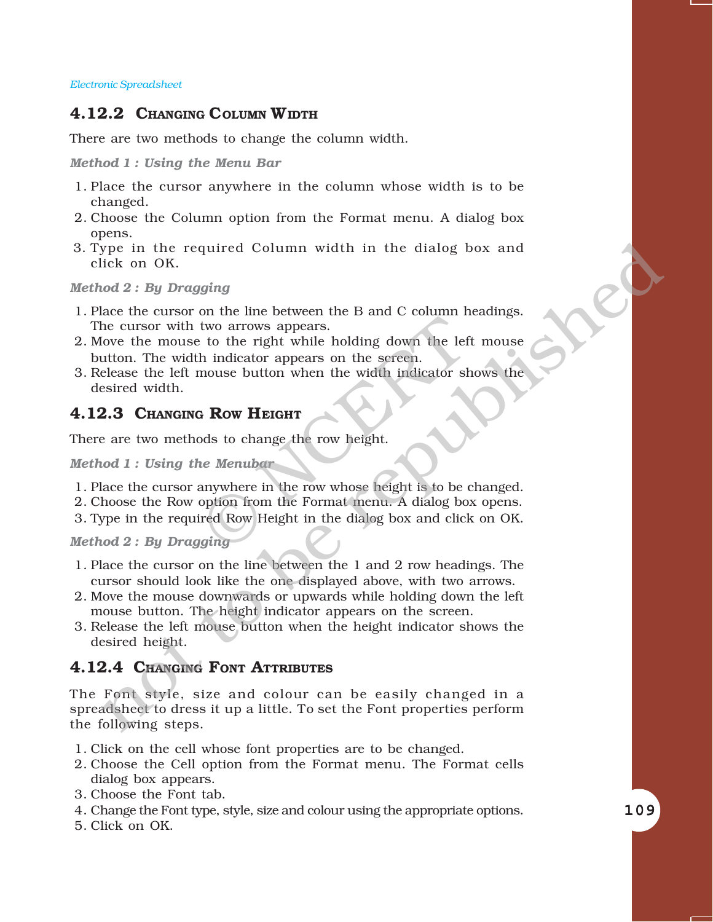#### **4.12.2 CHANGING COLUMN WIDTH**

There are two methods to change the column width.

*Method 1 : Using the Menu Bar*

- 1. Place the cursor anywhere in the column whose width is to be changed.
- 2. Choose the Column option from the Format menu. A dialog box opens.
- 3. Type in the required Column width in the dialog box and click on OK.

*Method 2 : By Dragging*

- 1. Place the cursor on the line between the B and C column headings. The cursor with two arrows appears.
- 2. Move the mouse to the right while holding down the left mouse button. The width indicator appears on the screen. Example 19 and two arrows appears.<br>
The video arrows appears.<br>
The indicator appears on the screen.<br>
The indicator appears on the screen.<br>
The screen mouse button when the width indicator sk<br>
The Merubar<br>
The Merubar<br>
The
- 3. Release the left mouse button when the width indicator shows the desired width.

#### **4.12.3 CHANGING ROW HEIGHT**

There are two methods to change the row height.

*Method 1 : Using the Menubar*

- 1. Place the cursor anywhere in the row whose height is to be changed.
- 2. Choose the Row option from the Format menu. A dialog box opens.
- 3. Type in the required Row Height in the dialog box and click on OK.

*Method 2 : By Dragging*

- 1. Place the cursor on the line between the 1 and 2 row headings. The cursor should look like the one displayed above, with two arrows.
- 2. Move the mouse downwards or upwards while holding down the left mouse button. The height indicator appears on the screen.
- 3. Release the left mouse button when the height indicator shows the desired height.

#### **4.12.4 CHANGING FONT ATTRIBUTES**

The Font style, size and colour can be easily changed in a spreadsheet to dress it up a little. To set the Font properties perform the following steps. For the required Column width in the dialog box and<br>
lick on OK.<br>
thek on OK.<br>
the cursor on the line between the B and C column headings,<br>
hece the cursor with two arrows appears.<br>
the cursor with two arrows appears on t

- 1. Click on the cell whose font properties are to be changed.
- 2. Choose the Cell option from the Format menu. The Format cells dialog box appears.
- 3. Choose the Font tab.
- 4. Change the Font type, style, size and colour using the appropriate options.
- 5. Click on OK.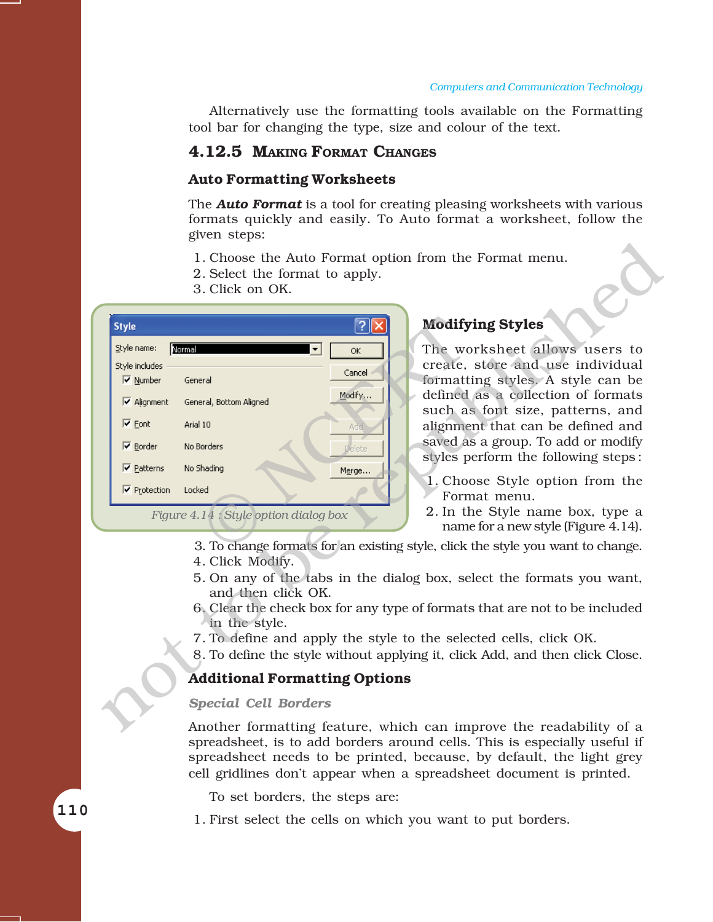Alternatively use the formatting tools available on the Formatting tool bar for changing the type, size and colour of the text.

#### **4.12.5 MAKING FORMAT CHANGES**

#### **Auto Formatting Worksheets**

The *Auto Format* is a tool for creating pleasing worksheets with various formats quickly and easily. To Auto format a worksheet, follow the given steps:

- 1. Choose the Auto Format option from the Format menu.
- 2. Select the format to apply.
- 3. Click on OK.



#### **Modifying Styles**

The worksheet allows users to create, store and use individual formatting styles. A style can be defined as a collection of formats such as font size, patterns, and alignment that can be defined and saved as a group. To add or modify styles perform the following steps :

- 1. Choose Style option from the Format menu.
- 2. In the Style name box, type a name for a new style (Figure 4.14).
- 3. To change formats for an existing style, click the style you want to change.
- 4. Click Modify.
- 5. On any of the tabs in the dialog box, select the formats you want, and then click OK.
- 6. Clear the check box for any type of formats that are not to be included in the style.
- 7. To define and apply the style to the selected cells, click OK.
- 8. To define the style without applying it, click Add, and then click Close.

#### **Additional Formatting Options**

#### *Special Cell Borders*

Another formatting feature, which can improve the readability of a spreadsheet, is to add borders around cells. This is especially useful if spreadsheet needs to be printed, because, by default, the light grey cell gridlines donít appear when a spreadsheet document is printed.

To set borders, the steps are:

1. First select the cells on which you want to put borders.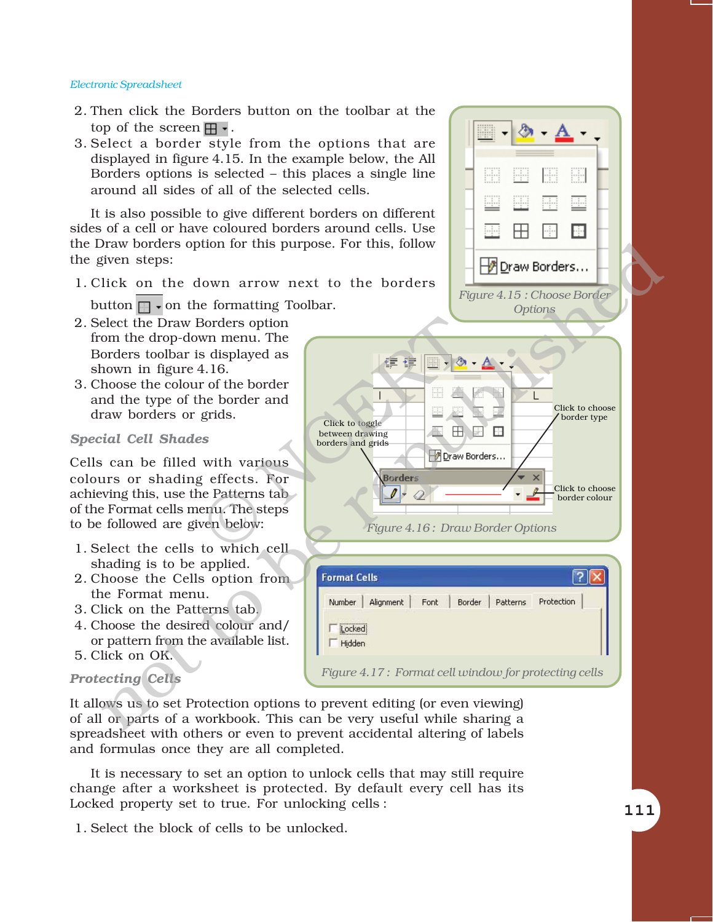- 2. Then click the Borders button on the toolbar at the top of the screen  $\mathbb{H}$ .
- 3. Select a border style from the options that are displayed in figure 4.15. In the example below, the All Borders options is selected  $-$  this places a single line around all sides of all of the selected cells.

It is also possible to give different borders on different sides of a cell or have coloured borders around cells. Use the Draw borders option for this purpose. For this, follow the given steps:

1. Click on the down arrow next to the borders

button  $\Box$   $\bullet$  on the formatting Toolbar.

- 2. Select the Draw Borders option from the drop-down menu. The Borders toolbar is displayed as shown in figure 4.16.
- 3. Choose the colour of the border and the type of the border and draw borders or grids.

#### *Special Cell Shades*

Cells can be filled with various colours or shading effects. For achieving this, use the Patterns tab of the Format cells menu. The steps to be followed are given below:

- 1. Select the cells to which cell shading is to be applied.
- 2. Choose the Cells option from the Format menu.
- 3. Click on the Patterns tab.
- 4. Choose the desired colour and/ or pattern from the available list.
- 5. Click on OK.

#### *Protecting Cells*

It allows us to set Protection options to prevent editing (or even viewing) of all or parts of a workbook. This can be very useful while sharing a spreadsheet with others or even to prevent accidental altering of labels and formulas once they are all completed.

It is necessary to set an option to unlock cells that may still require change after a worksheet is protected. By default every cell has its Locked property set to true. For unlocking cells :

1. Select the block of cells to be unlocked.

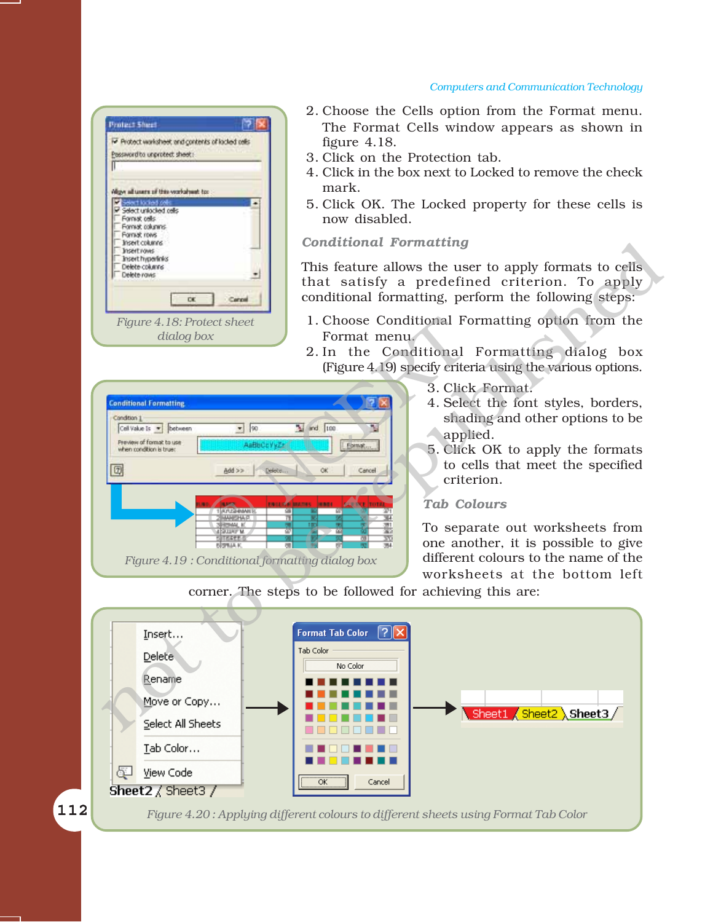#### *Computers and Communication Technology*

- **Protect Sheet PB** Protect worksheet and contents of locked cells Possword to unprotect sheet: Align all users of this vecksheet to: sections! Select unionized relig Fornist cells Format columns Fornish rows *Figure 4.18: Protect sheet dialog box*
- 2. Choose the Cells option from the Format menu. The Format Cells window appears as shown in figure 4.18.
- 3. Click on the Protection tab.
- 4. Click in the box next to Locked to remove the check mark.
- 5. Click OK. The Locked property for these cells is now disabled.

*Conditional Formatting*

This feature allows the user to apply formats to cells that satisfy a predefined criterion. To apply conditional formatting, perform the following steps:

- 1. Choose Conditional Formatting option from the Format menu.
- 2. In the Conditional Formatting dialog box (Figure 4.19) specify criteria using the various options. DES EXERCISE TO SEPULATE PARTICULAR PRESS, THE CONDUCTER CONTROLL OF THE MARINOLEY OF THE MARINOLEY OF THE MARINOLEY OF THE MARINOLEY OF THE MARINOLET CONTROLL OF THE MARINOLET CONTROLL OF THE MARINOLET CONTROLL OF THE MA
	- 3. Click Format.
	- 4. Select the font styles, borders, shading and other options to be applied.
	- 5. Click OK to apply the formats to cells that meet the specified criterion.

#### *Tab Colours*

To separate out worksheets from one another, it is possible to give different colours to the name of the worksheets at the bottom left

corner. The steps to be followed for achieving this are:

*Figure 4.19 : Conditional formatting dialog box*

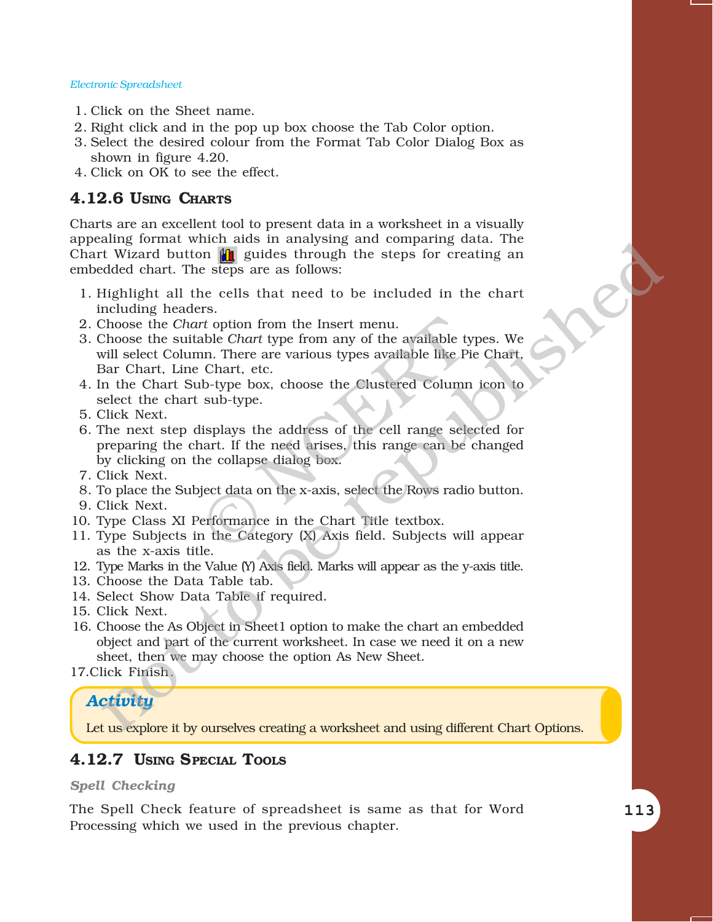- 1. Click on the Sheet name.
- 2. Right click and in the pop up box choose the Tab Color option.
- 3. Select the desired colour from the Format Tab Color Dialog Box as shown in figure 4.20.
- 4. Click on OK to see the effect.

#### **4.12.6 USING CHARTS**

Charts are an excellent tool to present data in a worksheet in a visually appealing format which aids in analysing and comparing data. The Chart Wizard button  $\|\mathbf{u}\|$  guides through the steps for creating an embedded chart. The steps are as follows:

- 1. Highlight all the cells that need to be included in the chart including headers.
- 2. Choose the *Chart* option from the Insert menu.
- 3. Choose the suitable *Chart* type from any of the available types. We will select Column. There are various types available like Pie Chart, Bar Chart, Line Chart, etc. rt option from the Insert menu.<br>
able Chart type from any of the available ty<br>
in. There are various types available like Pi<br>
Chart, etc.<br>
ib-type box, choose the Clustered Column<br>
sub-type.<br>
lisplays the address of the ce sing format when a may sing and comparing una: The Righlight all the cells that medicinal that the steps are as follows:<br>It Wizard button **and** guides through the steps for creating an<br>medicing headers. In the first method
- 4. In the Chart Sub-type box, choose the Clustered Column icon to select the chart sub-type.
- 5. Click Next.
- 6. The next step displays the address of the cell range selected for preparing the chart. If the need arises, this range can be changed by clicking on the collapse dialog box.
- 7. Click Next.
- 8. To place the Subject data on the x-axis, select the Rows radio button.
- 9. Click Next.
- 10. Type Class XI Performance in the Chart Title textbox.
- 11. Type Subjects in the Category (X) Axis field. Subjects will appear as the x-axis title.
- 12. Type Marks in the Value (Y) Axis field. Marks will appear as the y-axis title.
- 13. Choose the Data Table tab.
- 14. Select Show Data Table if required.
- 15. Click Next.
- 16. Choose the As Object in Sheet1 option to make the chart an embedded object and part of the current worksheet. In case we need it on a new sheet, then we may choose the option As New Sheet.

17.Click Finish.

#### *Activity*

Let us explore it by ourselves creating a worksheet and using different Chart Options.

#### **4.12.7 USING SPECIAL TOOLS**

#### *Spell Checking*

The Spell Check feature of spreadsheet is same as that for Word Processing which we used in the previous chapter.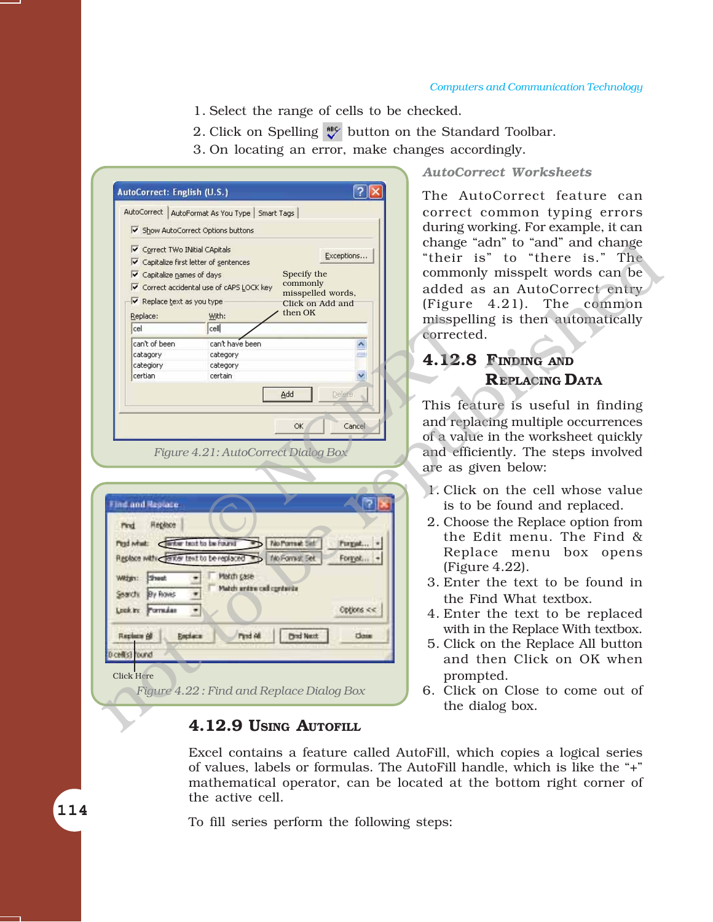*AutoCorrect Worksheets*

- 1. Select the range of cells to be checked.
- 2. Click on Spelling  $\mathcal{L}$  button on the Standard Toolbar.
- 3. On locating an error, make changes accordingly.

|                                     |                                                   |                                          | AutoCorrect Worksheets              |
|-------------------------------------|---------------------------------------------------|------------------------------------------|-------------------------------------|
| AutoCorrect: English (U.S.)         |                                                   | ?। ×                                     | The AutoCorrect feature can         |
|                                     | AutoCorrect   AutoFormat As You Type   Smart Tags |                                          | correct common typing errors        |
|                                     | Show AutoCorrect Options buttons                  |                                          | during working. For example, it can |
|                                     |                                                   |                                          | change "adn" to "and" and change    |
| Correct TWo INitial CApitals        |                                                   | Exceptions                               | "their is" to "there is." The       |
| <b>▽</b> Capitalize names of days   | ↓ Capitalize first letter of sentences            | Specify the                              | commonly misspelt words can be      |
|                                     | ↓ Correct accidental use of cAPS LOCK key         | commonly                                 | added as an AutoCorrect entry       |
| Replace text as you type            |                                                   | misspelled words,<br>Click on Add and    |                                     |
| Replace:                            | With:                                             | then OK                                  | (Figure 4.21). The common           |
| cel                                 | cell                                              |                                          | misspelling is then automatically   |
| can't of been                       | can't have been                                   |                                          | corrected.                          |
| catagory                            | category                                          | <b>CHA</b>                               |                                     |
| categiory                           | category                                          |                                          | 4.12.8 FINDING AND                  |
| certian                             | certain                                           | $\checkmark$                             | <b>REPLACING DATA</b>               |
|                                     |                                                   | Add<br>Delete                            |                                     |
|                                     |                                                   |                                          | This feature is useful in finding   |
|                                     |                                                   | OK<br>Cancel                             | and replacing multiple occurrences  |
|                                     |                                                   |                                          | of a value in the worksheet quickly |
|                                     |                                                   | Figure 4.21: AutoCorrect Dialog Box      | and efficiently. The steps involved |
|                                     |                                                   |                                          | are as given below:                 |
|                                     |                                                   |                                          |                                     |
|                                     |                                                   |                                          | 1. Click on the cell whose value    |
| Find and Replace.                   |                                                   |                                          | is to be found and replaced.        |
| Heplace<br>Pind                     |                                                   |                                          | 2. Choose the Replace option from   |
| First what: Cantar boot to be hound |                                                   | No Portrait Set<br>Porgat                | the Edit menu. The Find &           |
|                                     | Replace with Center text to be replaced           | No Fornat Set<br>Forget                  | Replace menu box opens              |
|                                     |                                                   |                                          | (Figure $4.22$ ).                   |
| With: Sheet                         | Match gase                                        |                                          | 3. Enter the text to be found in    |
| Search By Rover                     | Match antire call opnionis<br>ų.                  |                                          | the Find What textbox.              |
| Lookin: Pornulas                    | $\blacksquare$                                    | Options <<.                              | 4. Enter the text to be replaced    |
|                                     |                                                   |                                          | with in the Replace With textbox.   |
| Replace 68                          | Find All<br>Replace                               | <b>Direct Master</b><br>Close            |                                     |
| Dicellist Found                     |                                                   |                                          | 5. Click on the Replace All button  |
|                                     |                                                   |                                          | and then Click on OK when           |
| <b>Click Here</b>                   |                                                   |                                          | prompted.                           |
|                                     |                                                   | Figure 4.22: Find and Replace Dialog Box | 6. Click on Close to come out of    |
|                                     |                                                   |                                          | the dialog box.                     |
|                                     |                                                   | 4.12.9 USING AUTOFILL                    |                                     |
|                                     |                                                   |                                          |                                     |

- 3. Enter the text to be found in the Find What textbox.
- 4. Enter the text to be replaced with in the Replace With textbox.
- 5. Click on the Replace All button and then Click on OK when prompted.
- 6. Click on Close to come out of the dialog box.

#### **4.12.9 USING AUTOFILL**

Excel contains a feature called AutoFill, which copies a logical series of values, labels or formulas. The AutoFill handle, which is like the "+" mathematical operator, can be located at the bottom right corner of the active cell.

To fill series perform the following steps:

114 114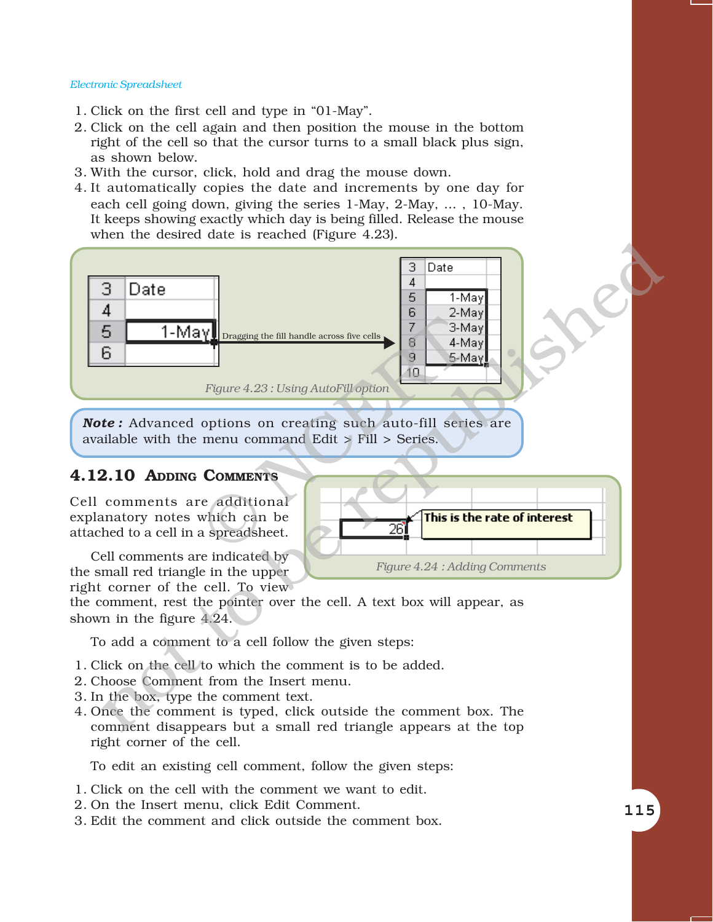- 1. Click on the first cell and type in "01-May".
- 2. Click on the cell again and then position the mouse in the bottom right of the cell so that the cursor turns to a small black plus sign, as shown below.
- 3. With the cursor, click, hold and drag the mouse down.
- 4. It automatically copies the date and increments by one day for each cell going down, giving the series 1-May, 2-May, ... , 10-May. It keeps showing exactly which day is being filled. Release the mouse when the desired date is reached (Figure 4.23).



*Note :* Advanced options on creating such auto-fill series are available with the menu command Edit > Fill > Series.

#### **4.12.10 ADDING COMMENTS**

Cell comments are additional explanatory notes which can be attached to a cell in a spreadsheet.

Cell comments are indicated by the small red triangle in the upper right corner of the cell. To view



the comment, rest the pointer over the cell. A text box will appear, as shown in the figure 4.24.

To add a comment to a cell follow the given steps:

- 1. Click on the cell to which the comment is to be added.
- 2. Choose Comment from the Insert menu.
- 3. In the box, type the comment text.
- 4. Once the comment is typed, click outside the comment box. The comment disappears but a small red triangle appears at the top right corner of the cell.

To edit an existing cell comment, follow the given steps:

- 1. Click on the cell with the comment we want to edit.
- 2. On the Insert menu, click Edit Comment.
- 3. Edit the comment and click outside the comment box.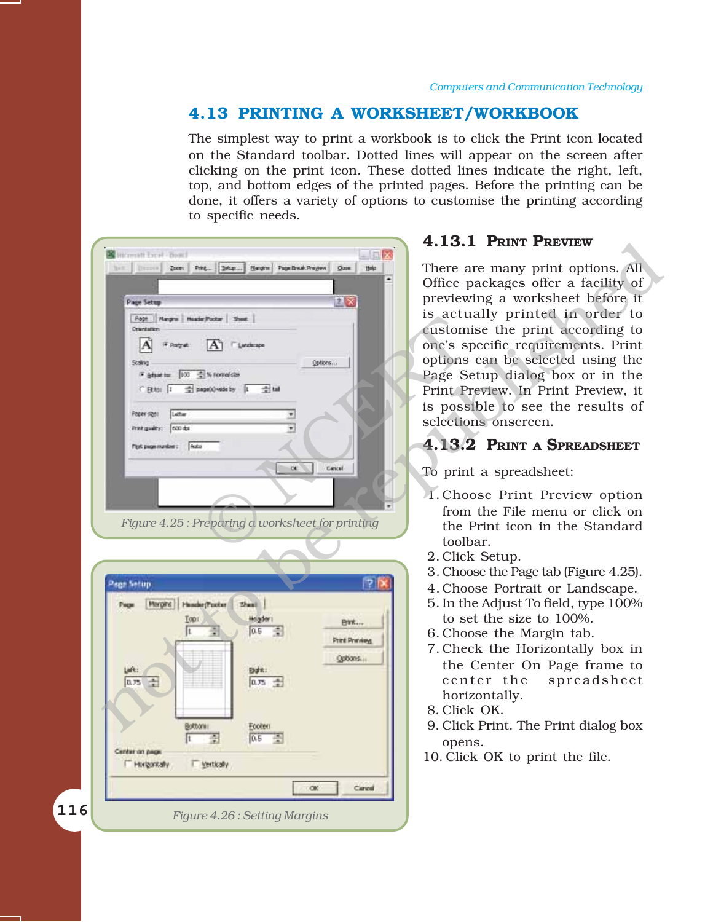#### **4.13 PRINTING A WORKSHEET/WORKBOOK**

The simplest way to print a workbook is to click the Print icon located on the Standard toolbar. Dotted lines will appear on the screen after clicking on the print icon. These dotted lines indicate the right, left, top, and bottom edges of the printed pages. Before the printing can be done, it offers a variety of options to customise the printing according to specific needs.

|                                                                                                                                                                                                                                                                                                                                                                                                                           | 4.13.1 PRINT PREVIEW                                                                                                                                                                                                                                                                                                                                                                                                                                                                                                                                             |
|---------------------------------------------------------------------------------------------------------------------------------------------------------------------------------------------------------------------------------------------------------------------------------------------------------------------------------------------------------------------------------------------------------------------------|------------------------------------------------------------------------------------------------------------------------------------------------------------------------------------------------------------------------------------------------------------------------------------------------------------------------------------------------------------------------------------------------------------------------------------------------------------------------------------------------------------------------------------------------------------------|
| Wirmstt Evral - Boocl<br>$-10/23$<br>Zoon   Print   Salan   Hargins   Page Break Pregion  <br>District<br><b>Quie</b><br>ttele<br>2x<br><b>Page Setup</b><br>Page   Nargns   Header/Pooter   Sheet<br>Orientation<br>F. Patruk<br>AT Fundame<br>Scaling<br>Options<br>F grase to: 100 - % normal size<br>C Etto: 1 = page(s) vide by 1 = tal<br>Letter<br>Paper sign!<br>Frink guality; con del<br>Port page mundee: Auto | There are many print options. All<br>Office packages offer a facility of<br>previewing a worksheet before it<br>is actually printed in order to<br>customise the print according to<br>one's specific requirements. Print<br>options can be selected using the<br>Page Setup dialog box or in the<br>Print Preview. In Print Preview, it<br>is possible to see the results of<br>selections onscreen.<br>4.13.2 PRINT A SPREADSHEET                                                                                                                              |
| $\alpha$<br>Cancul<br>Figure 4.25: Preparing a worksheet for printing<br> 7 <br>Page Setup<br>Margins   Hander/Pooter<br>$2$ res<br><b>Tops</b><br>Hogden<br>日代:<br>÷<br>0.5<br>Print Prenders<br>Options.<br>Left:<br>English:<br>0.75 号<br>an 量<br>Bottoni<br>Footon.<br>0.5<br>÷<br>ria de la<br>Center on page<br>T yestically<br>F Horizontally<br>OK.<br>Cancel                                                     | To print a spreadsheet:<br>1. Choose Print Preview option<br>from the File menu or click on<br>the Print icon in the Standard<br>toolbar.<br>2. Click Setup.<br>3. Choose the Page tab (Figure 4.25).<br>4. Choose Portrait or Landscape.<br>5. In the Adjust To field, type 100%<br>to set the size to 100%.<br>6. Choose the Margin tab.<br>7. Check the Horizontally box in<br>the Center On Page frame to<br>center the<br>spreadsheet<br>horizontally.<br>8. Click OK.<br>9. Click Print. The Print dialog box<br>opens.<br>10. Click OK to print the file. |
| 116<br>Figure 4.26: Setting Margins                                                                                                                                                                                                                                                                                                                                                                                       |                                                                                                                                                                                                                                                                                                                                                                                                                                                                                                                                                                  |

#### **4.13.1 PRINT PREVIEW**

#### **4.13.2 PRINT A SPREADSHEET**

- To print a spreadsheet:
	- 1.Choose Print Preview option from the File menu or click on the Print icon in the Standard toolbar.
	- 2. Click Setup.
	- 3. Choose the Page tab (Figure 4.25).
	- 4. Choose Portrait or Landscape.
	- 5. In the Adjust To field, type 100% to set the size to 100%.
	- 6. Choose the Margin tab.
	- 7. Check the Horizontally box in the Center On Page frame to center the spreadsheet horizontally.
	- 8. Click OK.
	- 9. Click Print. The Print dialog box opens.
	- 10. Click OK to print the file.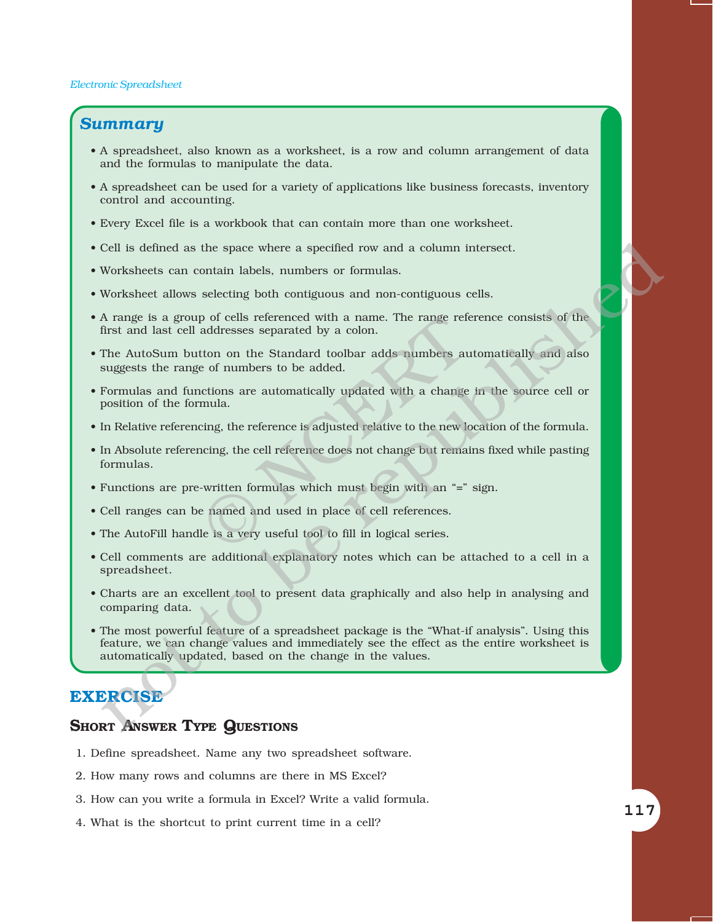#### *Summary*

- ï A spreadsheet, also known as a worksheet, is a row and column arrangement of data and the formulas to manipulate the data.
- A spreadsheet can be used for a variety of applications like business forecasts, inventory control and accounting.
- ï Every Excel file is a workbook that can contain more than one worksheet.
- ï Cell is defined as the space where a specified row and a column intersect.
- ï Worksheets can contain labels, numbers or formulas.
- ï Worksheet allows selecting both contiguous and non-contiguous cells.
- A range is a group of cells referenced with a name. The range reference consists of the first and last cell addresses separated by a colon.
- The AutoSum button on the Standard toolbar adds numbers automatically and also suggests the range of numbers to be added.
- ï Formulas and functions are automatically updated with a change in the source cell or position of the formula.
- In Relative referencing, the reference is adjusted relative to the new location of the formula.
- In Absolute referencing, the cell reference does not change but remains fixed while pasting formulas. p of cells referenced with a name. The range referred addresses separated by a colon.<br>
tton on the Standard toolbar adds numbers au<br>
e of numbers to be added.<br>
actions are automatically updated with a change<br>
mula.<br>
cing,
- Functions are pre-written formulas which must begin with an "=" sign.
- ï Cell ranges can be named and used in place of cell references.
- The AutoFill handle is a very useful tool to fill in logical series.
- ï Cell comments are additional explanatory notes which can be attached to a cell in a spreadsheet.
- Charts are an excellent tool to present data graphically and also help in analysing and comparing data.
- The most powerful feature of a spreadsheet package is the "What-if analysis". Using this feature, we can change values and immediately see the effect as the entire worksheet is automatically updated, based on the change in the values. Cell is defined as the space where a specified row and a column intersect.<br>
Worksheets can contain labels, numbers or formulas.<br>
Worksheets can contain labels, numbers or formulas.<br>
Morksheets also selecting both condition

#### **EXERCISE**

#### **SHORT ANSWER TYPE QUESTIONS**

- 1. Define spreadsheet. Name any two spreadsheet software.
- 2. How many rows and columns are there in MS Excel?
- 3. How can you write a formula in Excel? Write a valid formula.
- 4. What is the shortcut to print current time in a cell?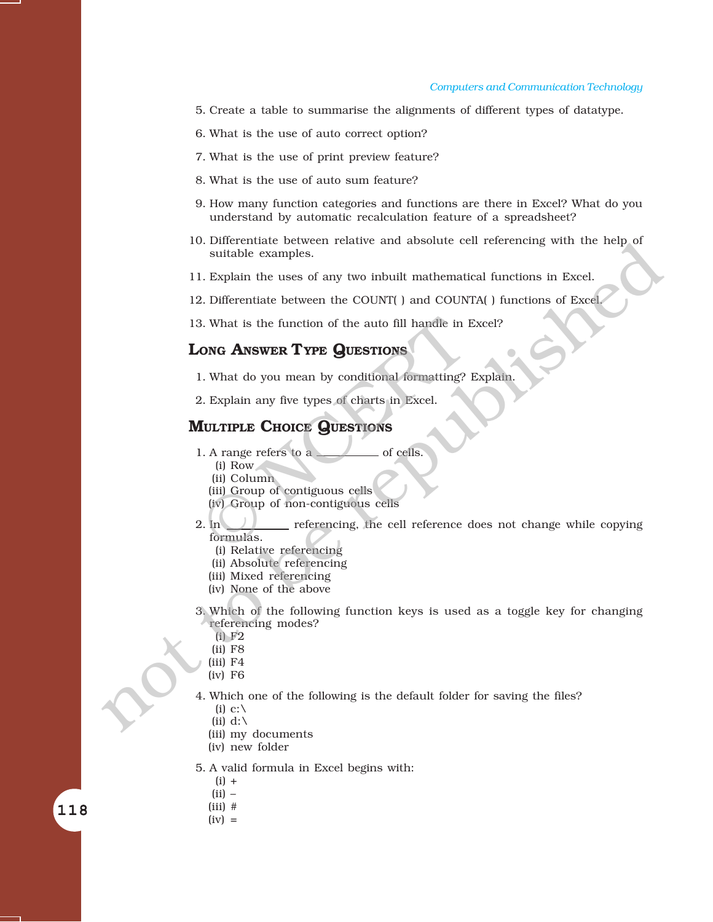#### *Computers and Communication Technology*

- 5. Create a table to summarise the alignments of different types of datatype.
- 6. What is the use of auto correct option?
- 7. What is the use of print preview feature?
- 8. What is the use of auto sum feature?
- 9. How many function categories and functions are there in Excel? What do you understand by automatic recalculation feature of a spreadsheet?
- 10. Differentiate between relative and absolute cell referencing with the help of suitable examples.
- 11. Explain the uses of any two inbuilt mathematical functions in Excel.
- 12. Differentiate between the COUNT( ) and COUNTA( ) functions of Excel.
- 13. What is the function of the auto fill handle in Excel?

#### **LONG ANSWER TYPE QUESTIONS**

- 1. What do you mean by conditional formatting? Explain.
- 2. Explain any five types of charts in Excel.

#### **MULTIPLE CHOICE QUESTIONS**

- 1. A range refers to a <u>second</u> of cells.
	- (i) Row
	- (ii) Column
	- (iii) Group of contiguous cells
	- (iv) Group of non-contiguous cells
- 2. In  $\Box$  referencing, the cell reference does not change while copying formulas. Fig. 1)<br>
S. What is the function of the auto fill handle in 1<br> **ONG ANSWER TYPE QUESTIONS**<br>
L. What do you mean by conditional formatting?<br>
2. Explain any five types of charts in Excel.<br> **IULTIPLE CHOICE QUESTIONS**<br>
L. A r not to be reputational models of the reputation of the reputation of the reputation of the counterpart of the counterpart of the counterpart of the state.<br>
1. Explain the uses of any two inbullt mathematical functions in
	- (i) Relative referencing
	- (ii) Absolute referencing
	- (iii) Mixed referencing
	- (iv) None of the above
	- 3. Which of the following function keys is used as a toggle key for changing referencing modes?
		- (i) F2
		- (ii) F8
		- (iii) F4
		- (iv) F6
	- 4. Which one of the following is the default folder for saving the files?
		- (i) c:  $\setminus$
		- (ii)  $d:\`$
		- (iii) my documents
		- (iv) new folder
	- 5. A valid formula in Excel begins with:
		- $(i) +$
		- $(ii)$  –
		- $(iii)$  #

118 118

 $(iv) =$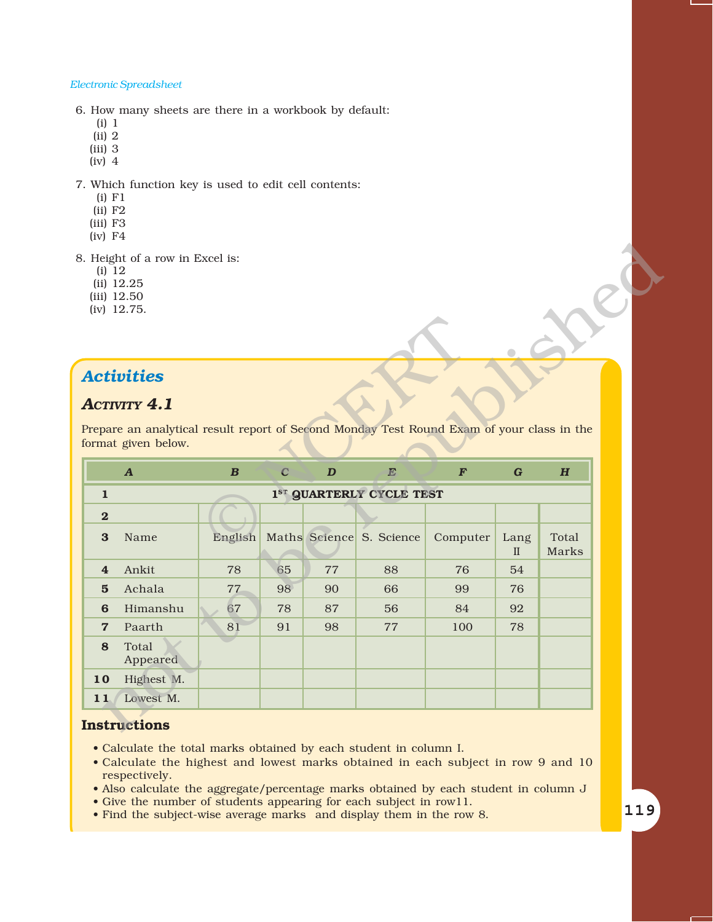6. How many sheets are there in a workbook by default:

- (i) 1
- (ii) 2
- (iii) 3 (iv) 4
- 

7. Which function key is used to edit cell contents:

- (i) F1
- (ii) F2
- (iii) F3
- (iv) F4
- 8. Height of a row in Excel is:
	- (i) 12
	- (ii) 12.25
	- (iii) 12.50
	- (iv) 12.75.

#### *Activities*

#### *ACTIVITY 4.1*

| (i) 12         | 3. Height of a row in Excel is:<br>(ii) 12.25<br>$(iii)$ 12.50<br>(iv) 12.75.                                    |                  |                |                  |                                      |                  |                      |                |
|----------------|------------------------------------------------------------------------------------------------------------------|------------------|----------------|------------------|--------------------------------------|------------------|----------------------|----------------|
|                | <b>Activities</b>                                                                                                |                  |                |                  |                                      |                  |                      |                |
|                | <b>ACTIVITY 4.1</b>                                                                                              |                  |                |                  |                                      |                  |                      |                |
|                | Prepare an analytical result report of Second Monday Test Round Exam of your class in the<br>format given below. |                  |                |                  |                                      |                  |                      |                |
|                |                                                                                                                  |                  |                |                  | E                                    | $\boldsymbol{F}$ | $\mathbf G$          |                |
|                | $\boldsymbol{A}$                                                                                                 | $\boldsymbol{B}$ | $\overline{C}$ | $\boldsymbol{D}$ |                                      |                  |                      | H              |
| $\mathbf{1}$   |                                                                                                                  |                  |                |                  | 1 <sup>ST</sup> QUARTERLY CYCLE TEST |                  |                      |                |
| $\mathbf{2}$   |                                                                                                                  |                  |                |                  |                                      |                  |                      |                |
| $\bf{3}$       | Name                                                                                                             | English          |                |                  | Maths Science S. Science             | Computer         | Lang<br>$\mathbf{I}$ | Total<br>Marks |
| $\overline{4}$ | Ankit                                                                                                            | 78               | 65             | 77               | 88                                   | 76               | 54                   |                |
| $5\phantom{1}$ | Achala                                                                                                           | 77               | 98             | 90               | 66                                   | 99               | 76                   |                |
| 6              | Himanshu                                                                                                         | 67               | 78             | 87               | 56                                   | 84               | 92                   |                |
| $\overline{7}$ | Paarth                                                                                                           | 81               | 91             | 98               | 77                                   | 100              | 78                   |                |
| 8              | Total<br>Appeared                                                                                                |                  |                |                  |                                      |                  |                      |                |
| 10             | Highest M.                                                                                                       |                  |                |                  |                                      |                  |                      |                |

#### **Instructions**

- Calculate the total marks obtained by each student in column I.
- Calculate the highest and lowest marks obtained in each subject in row 9 and 10 respectively.
- ï Also calculate the aggregate/percentage marks obtained by each student in column J
- Give the number of students appearing for each subject in row11.
- Find the subject-wise average marks and display them in the row 8.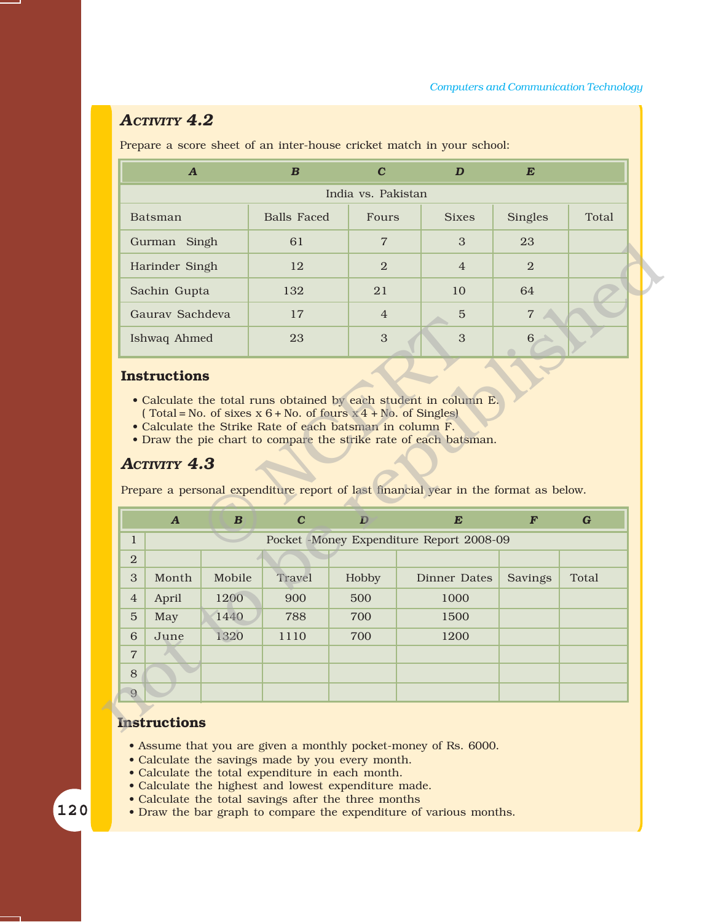#### *ACTIVITY 4.2*

Prepare a score sheet of an inter-house cricket match in your school:

| A                  | $\boldsymbol{B}$   | C              | D              | $\boldsymbol{E}$ |       |  |
|--------------------|--------------------|----------------|----------------|------------------|-------|--|
| India vs. Pakistan |                    |                |                |                  |       |  |
| Batsman            | <b>Balls Faced</b> | Fours          | <b>Sixes</b>   | <b>Singles</b>   | Total |  |
| Gurman Singh       | 61                 | $\overline{7}$ | 3              | 23               |       |  |
| Harinder Singh     | 12                 | $\overline{2}$ | $\overline{4}$ | $\overline{2}$   |       |  |
| Sachin Gupta       | 132                | 21             | 10             | 64               |       |  |
| Gauray Sachdeva    | 17                 | $\overline{4}$ | 5              | $\overline{7}$   |       |  |
| Ishwaq Ahmed       | 23                 | 3              | 3              | 6                |       |  |

#### **Instructions**

- Calculate the total runs obtained by each student in column E. (Total = No. of sixes  $x 6 + No$ . of fours  $x 4 + No$ . of Singles)
- ï Calculate the Strike Rate of each batsman in column F.
- Draw the pie chart to compare the strike rate of each batsman.

#### *ACTIVITY 4.3*

| Gurman Singh                                                                                      |                  | 01                                                                                                                                                                                                                                                                       |                | 3                                        | 23               |         |
|---------------------------------------------------------------------------------------------------|------------------|--------------------------------------------------------------------------------------------------------------------------------------------------------------------------------------------------------------------------------------------------------------------------|----------------|------------------------------------------|------------------|---------|
| Harinder Singh                                                                                    |                  | 12                                                                                                                                                                                                                                                                       | $\overline{2}$ | $\overline{4}$                           | 2                |         |
| Sachin Gupta                                                                                      |                  | 132                                                                                                                                                                                                                                                                      | 21             | 10                                       | 64               |         |
| Gaurav Sachdeva                                                                                   |                  | 17                                                                                                                                                                                                                                                                       | $\overline{4}$ | 5                                        | $\overline{7}$   |         |
| Ishwaq Ahmed                                                                                      |                  | 23                                                                                                                                                                                                                                                                       | 3              | 3                                        | 6 <sub>1</sub>   |         |
| <b>Instructions</b><br><b>ACTIVITY 4.3</b>                                                        |                  | • Calculate the total runs obtained by each student in column E.<br>(Total = No. of sixes $x 6 + No$ . of fours $x 4 + No$ . of Singles)<br>• Calculate the Strike Rate of each batsman in column F.<br>• Draw the pie chart to compare the strike rate of each batsman. |                |                                          |                  |         |
|                                                                                                   |                  | Prepare a personal expenditure report of last financial year in the format as below.                                                                                                                                                                                     |                |                                          |                  |         |
| $\mathbf{A}$                                                                                      | $\boldsymbol{B}$ | $\mathbf C$                                                                                                                                                                                                                                                              | D              | E                                        | $\boldsymbol{F}$ | $\bf G$ |
|                                                                                                   |                  |                                                                                                                                                                                                                                                                          |                | Pocket -Money Expenditure Report 2008-09 |                  |         |
|                                                                                                   |                  |                                                                                                                                                                                                                                                                          |                |                                          |                  |         |
| Month                                                                                             | Mobile           | Travel                                                                                                                                                                                                                                                                   | Hobby          | Dinner Dates                             | Savings          | Total   |
| April                                                                                             | 1200             | 900                                                                                                                                                                                                                                                                      | 500            | 1000                                     |                  |         |
| May                                                                                               | 1440             | 788                                                                                                                                                                                                                                                                      | 700            | 1500                                     |                  |         |
| June                                                                                              | 1320             | 1110                                                                                                                                                                                                                                                                     | 700            | 1200                                     |                  |         |
|                                                                                                   |                  |                                                                                                                                                                                                                                                                          |                |                                          |                  |         |
|                                                                                                   |                  |                                                                                                                                                                                                                                                                          |                |                                          |                  |         |
| $\mathbf{1}$<br>$\overline{2}$<br>3<br>$\overline{4}$<br>5<br>6<br>$\overline{7}$<br>$\,8\,$<br>9 |                  |                                                                                                                                                                                                                                                                          |                |                                          |                  |         |

#### **Instructions**

- Assume that you are given a monthly pocket-money of Rs. 6000.
- Calculate the savings made by you every month.
- Calculate the total expenditure in each month.
- Calculate the highest and lowest expenditure made.
- Calculate the total savings after the three months
- Draw the bar graph to compare the expenditure of various months.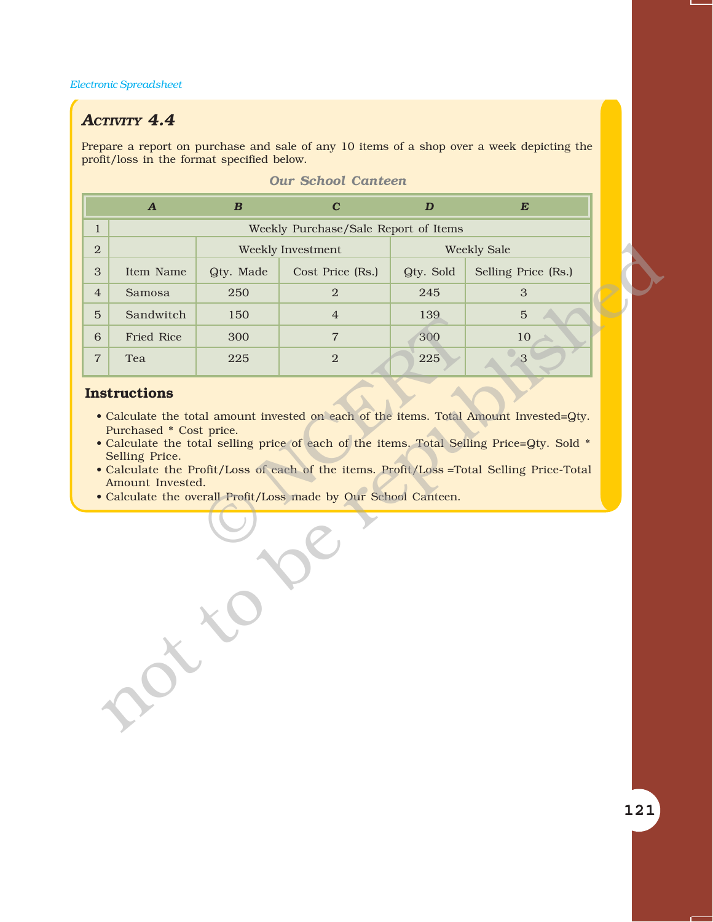#### *ACTIVITY 4.4*

Prepare a report on purchase and sale of any 10 items of a shop over a week depicting the profit/loss in the format specified below.

|                | $\boldsymbol{A}$                                              | $\boldsymbol{B}$ | $\mathbf{C}$                                                    | $\boldsymbol{D}$ | $\boldsymbol{E}$                                                                                                                                                                                                                                                                 |  |  |  |
|----------------|---------------------------------------------------------------|------------------|-----------------------------------------------------------------|------------------|----------------------------------------------------------------------------------------------------------------------------------------------------------------------------------------------------------------------------------------------------------------------------------|--|--|--|
| $\mathbf{1}$   | Weekly Purchase/Sale Report of Items                          |                  |                                                                 |                  |                                                                                                                                                                                                                                                                                  |  |  |  |
| $\overline{2}$ |                                                               |                  | Weekly Investment                                               |                  | <b>Weekly Sale</b>                                                                                                                                                                                                                                                               |  |  |  |
| $\sqrt{3}$     | Item Name                                                     | Qty. Made        | Cost Price (Rs.)                                                | Qty. Sold        | Selling Price (Rs.)                                                                                                                                                                                                                                                              |  |  |  |
| $\overline{4}$ | Samosa                                                        | 250              | 2                                                               | 245              | 3                                                                                                                                                                                                                                                                                |  |  |  |
| $\overline{5}$ | Sandwitch                                                     | 150              | $\overline{4}$                                                  | 139              | $\overline{5}$                                                                                                                                                                                                                                                                   |  |  |  |
| 6              | Fried Rice                                                    | 300              | $\overline{7}$                                                  | 300              | 10                                                                                                                                                                                                                                                                               |  |  |  |
| $\overline{7}$ | Tea                                                           | 225              | 2                                                               | 225              | 3                                                                                                                                                                                                                                                                                |  |  |  |
|                | Purchased * Cost price.<br>Selling Price.<br>Amount Invested. |                  | • Calculate the overall Profit/Loss made by Our School Canteen. |                  | • Calculate the total amount invested on each of the items. Total Amount Invested=Qty.<br>• Calculate the total selling price of each of the items. Total Selling Price=Qty. Sold *<br>• Calculate the Profit/Loss of each of the items. Profit/Loss = Total Selling Price-Total |  |  |  |
|                |                                                               |                  |                                                                 |                  |                                                                                                                                                                                                                                                                                  |  |  |  |

#### *Our School Canteen*

#### **Instructions**

- Calculate the total amount invested on each of the items. Total Amount Invested=Qty. Purchased \* Cost price.
- Calculate the total selling price of each of the items. Total Selling Price=Qty. Sold \* Selling Price.
- ï Calculate the Profit/Loss of each of the items. Profit/Loss =Total Selling Price-Total Amount Invested.
- Calculate the overall Profit/Loss made by Our School Canteen.